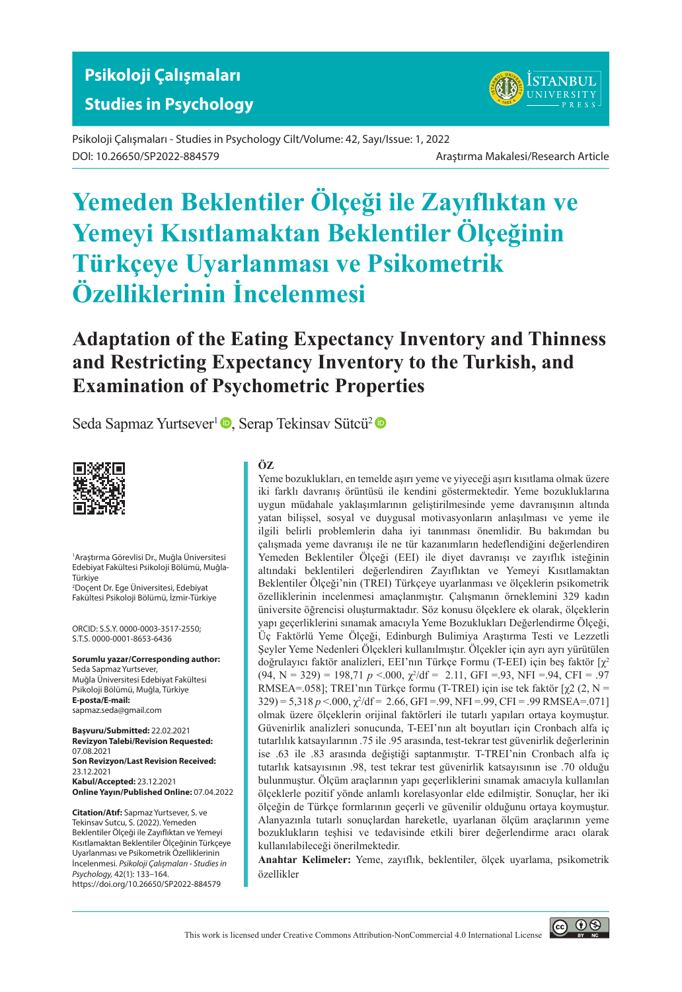## **Studies in Psychology**



Psikoloji Çalışmaları - Studies in Psychology Cilt/Volume: 42, Sayı/Issue: 1, 2022 DOI: 10.26650/SP2022-884579 Araştırma Makalesi/Research Article

# **Yemeden Beklentiler Ölçeği ile Zayıflıktan ve Yemeyi Kısıtlamaktan Beklentiler Ölçeğinin Türkçeye Uyarlanması ve Psi̇kometri̇k Özelli̇kleri̇ni̇n İncelenmesi**

## **Adaptation of the Eating Expectancy Inventory and Thinness and Restricting Expectancy Inventory to the Turkish, and Examination of Psychometric Properties**

Seda Sapmaz Yurtsever<sup>1</sup> , Serap Tekinsav Sütcü<sup>2</sup> <sup>®</sup>



1 Araştırma Görevlisi Dr., Muğla Üniversitesi Edebiyat Fakültesi Psikoloji Bölümü, Muğla-Türkiye

2 Doçent Dr. Ege Üniversitesi, Edebiyat Fakültesi Psikoloji Bölümü, İzmir-Türkiye

ORCID: S.S.Y. 0000-0003-3517-2550; S.T.S. 0000-0001-8653-6436

**Sorumlu yazar/Corresponding author:** Seda Sapmaz Yurtsever, Muğla Üniversitesi Edebiyat Fakültesi Psikoloji Bölümü, Muğla, Türkiye **E-posta/E-mail:** sapmaz.seda@gmail.com

**Başvuru/Submitted:** 22.02.2021 **Revizyon Talebi/Revision Requested:** 07.08.2021 **Son Revizyon/Last Revision Received:** 23.12.2021 **Kabul/Accepted:** 23.12.2021 **Online Yayın/Published Online:** 07.04.2022

**Citation/Atıf:** Sapmaz Yurtsever, S. ve Tekinsav Sutcu, S. (2022). Yemeden Beklentiler Ölçeği ile Zayıflıktan ve Yemeyi Kısıtlamaktan Beklentiler Ölçeğinin Türkçeye Uyarlanması ve Psikometrik Özelliklerinin İncelenmesi. *Psikoloji Çalışmaları - Studies in Psychology,* 42(1): 133–164. https://doi.org/10.26650/SP2022-884579

#### **ÖZ**

Yeme bozuklukları, en temelde aşırı yeme ve yiyeceği aşırı kısıtlama olmak üzere iki farklı davranış örüntüsü ile kendini göstermektedir. Yeme bozukluklarına uygun müdahale yaklaşımlarının geliştirilmesinde yeme davranışının altında yatan bilişsel, sosyal ve duygusal motivasyonların anlaşılması ve yeme ile ilgili belirli problemlerin daha iyi tanınması önemlidir. Bu bakımdan bu çalışmada yeme davranışı ile ne tür kazanımların hedeflendiğini değerlendiren Yemeden Beklentiler Ölçeği (EEI) ile diyet davranışı ve zayıflık isteğinin altındaki beklentileri değerlendiren Zayıflıktan ve Yemeyi Kısıtlamaktan Beklentiler Ölçeği'nin (TREI) Türkçeye uyarlanması ve ölçeklerin psikometrik özelliklerinin incelenmesi amaçlanmıştır. Çalışmanın örneklemini 329 kadın üniversite öğrencisi oluşturmaktadır. Söz konusu ölçeklere ek olarak, ölçeklerin yapı geçerliklerini sınamak amacıyla Yeme Bozuklukları Değerlendirme Ölçeği, Üç Faktörlü Yeme Ölçeği, Edinburgh Bulimiya Araştırma Testi ve Lezzetli Şeyler Yeme Nedenleri Ölçekleri kullanılmıştır. Ölçekler için ayrı ayrı yürütülen doğrulayıcı faktör analizleri, EEI'nın Türkçe Formu (T-EEI) için beş faktör [χ<sup>2</sup>  $(94, N = 329) = 198,71 \, p \le 000, \, \chi^2/\text{df} = 2.11, \, \text{GFI} = 93, \, \text{NFI} = 94, \, \text{CFI} = 97$ RMSEA=.058]; TREI'nın Türkçe formu (T-TREI) için ise tek faktör [χ2 (2, N =  $329$ ) = 5,318  $p < 000$ ,  $\chi^2$ /df = 2.66, GFI = .99, NFI = .99, CFI = .99 RMSEA=.071] olmak üzere ölçeklerin orijinal faktörleri ile tutarlı yapıları ortaya koymuştur. Güvenirlik analizleri sonucunda, T-EEI'nın alt boyutları için Cronbach alfa iç tutarlılık katsayılarının .75 ile .95 arasında, test-tekrar test güvenirlik değerlerinin ise .63 ile .83 arasında değiştiği saptanmıştır. T-TREI'nin Cronbach alfa iç tutarlık katsayısının .98, test tekrar test güvenirlik katsayısının ise .70 olduğu bulunmuştur. Ölçüm araçlarının yapı geçerliklerini sınamak amacıyla kullanılan ölçeklerle pozitif yönde anlamlı korelasyonlar elde edilmiştir. Sonuçlar, her iki ölçeğin de Türkçe formlarının geçerli ve güvenilir olduğunu ortaya koymuştur. Alanyazınla tutarlı sonuçlardan hareketle, uyarlanan ölçüm araçlarının yeme bozuklukların teşhisi ve tedavisinde etkili birer değerlendirme aracı olarak kullanılabileceği önerilmektedir.

**Anahtar Kelimeler:** Yeme, zayıflık, beklentiler, ölçek uyarlama, psikometrik özellikler

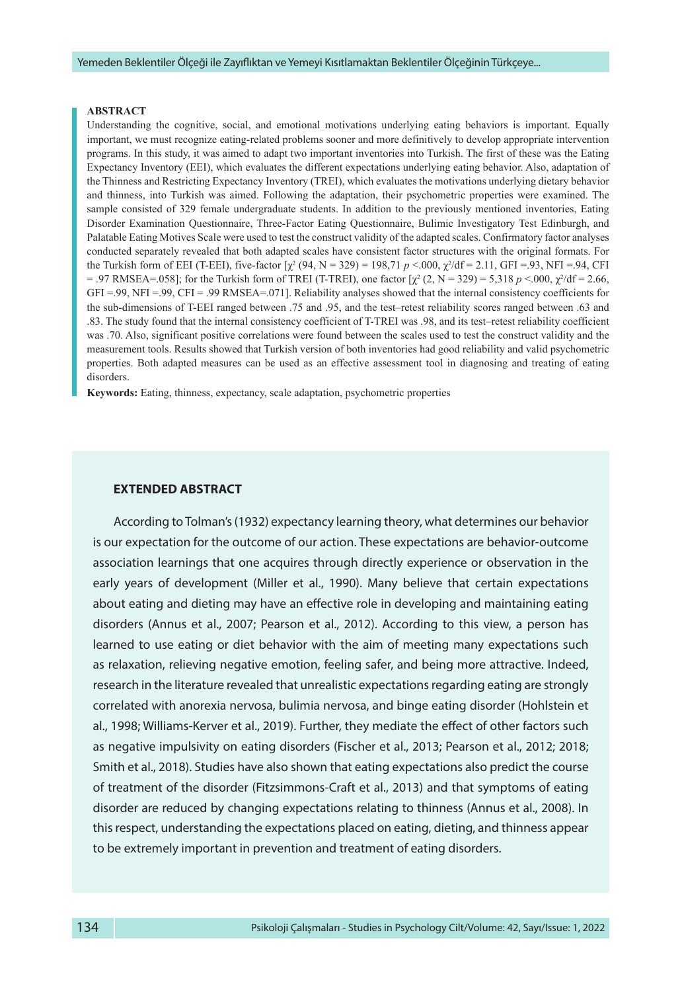#### **ABSTRACT**

Understanding the cognitive, social, and emotional motivations underlying eating behaviors is important. Equally important, we must recognize eating-related problems sooner and more definitively to develop appropriate intervention programs. In this study, it was aimed to adapt two important inventories into Turkish. The first of these was the Eating Expectancy Inventory (EEI), which evaluates the different expectations underlying eating behavior. Also, adaptation of the Thinness and Restricting Expectancy Inventory (TREI), which evaluates the motivations underlying dietary behavior and thinness, into Turkish was aimed. Following the adaptation, their psychometric properties were examined. The sample consisted of 329 female undergraduate students. In addition to the previously mentioned inventories, Eating Disorder Examination Questionnaire, Three-Factor Eating Questionnaire, Bulimic Investigatory Test Edinburgh, and Palatable Eating Motives Scale were used to test the construct validity of the adapted scales. Confirmatory factor analyses conducted separately revealed that both adapted scales have consistent factor structures with the original formats. For the Turkish form of EEI (T-EEI), five-factor  $[\chi^2(94, N = 329) = 198,71 \, p \le 0.00$ ,  $\chi^2/df = 2.11$ , GFI =.93, NFI =.94, CFI  $= .97$  RMSEA=.058]; for the Turkish form of TREI (T-TREI), one factor  $[χ<sup>2</sup>(2, N = 329) = 5,318 p < .000, χ<sup>2</sup>/df = 2.66,$ GFI =.99, NFI =.99, CFI = .99 RMSEA=.071]. Reliability analyses showed that the internal consistency coefficients for the sub-dimensions of T-EEI ranged between .75 and .95, and the test–retest reliability scores ranged between .63 and .83. The study found that the internal consistency coefficient of T-TREI was .98, and its test–retest reliability coefficient was .70. Also, significant positive correlations were found between the scales used to test the construct validity and the measurement tools. Results showed that Turkish version of both inventories had good reliability and valid psychometric properties. Both adapted measures can be used as an effective assessment tool in diagnosing and treating of eating disorders.

**Keywords:** Eating, thinness, expectancy, scale adaptation, psychometric properties

#### **EXTENDED ABSTRACT**

According to Tolman's (1932) expectancy learning theory, what determines our behavior is our expectation for the outcome of our action. These expectations are behavior-outcome association learnings that one acquires through directly experience or observation in the early years of development (Miller et al., 1990). Many believe that certain expectations about eating and dieting may have an effective role in developing and maintaining eating disorders (Annus et al., 2007; Pearson et al., 2012). According to this view, a person has learned to use eating or diet behavior with the aim of meeting many expectations such as relaxation, relieving negative emotion, feeling safer, and being more attractive. Indeed, research in the literature revealed that unrealistic expectations regarding eating are strongly correlated with anorexia nervosa, bulimia nervosa, and binge eating disorder (Hohlstein et al., 1998; Williams-Kerver et al., 2019). Further, they mediate the effect of other factors such as negative impulsivity on eating disorders (Fischer et al., 2013; Pearson et al., 2012; 2018; Smith et al., 2018). Studies have also shown that eating expectations also predict the course of treatment of the disorder (Fitzsimmons-Craft et al., 2013) and that symptoms of eating disorder are reduced by changing expectations relating to thinness (Annus et al., 2008). In this respect, understanding the expectations placed on eating, dieting, and thinness appear to be extremely important in prevention and treatment of eating disorders.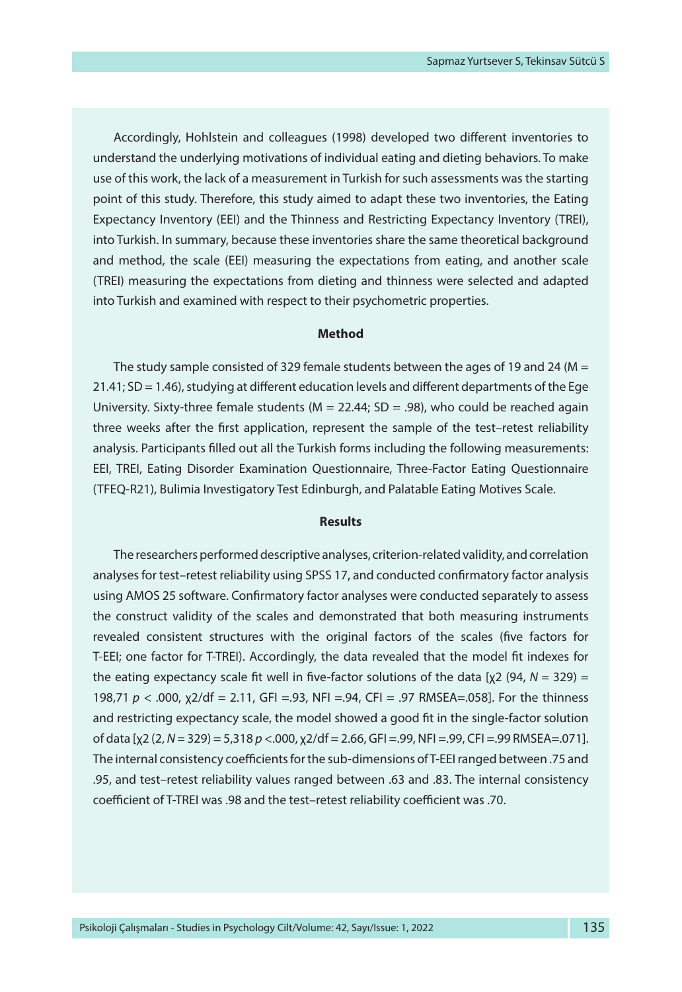Accordingly, Hohlstein and colleagues (1998) developed two different inventories to understand the underlying motivations of individual eating and dieting behaviors. To make use of this work, the lack of a measurement in Turkish for such assessments was the starting point of this study. Therefore, this study aimed to adapt these two inventories, the Eating Expectancy Inventory (EEI) and the Thinness and Restricting Expectancy Inventory (TREI), into Turkish. In summary, because these inventories share the same theoretical background and method, the scale (EEI) measuring the expectations from eating, and another scale (TREI) measuring the expectations from dieting and thinness were selected and adapted into Turkish and examined with respect to their psychometric properties.

#### **Method**

The study sample consisted of 329 female students between the ages of 19 and 24 ( $M =$ 21.41; SD = 1.46), studying at different education levels and different departments of the Ege University. Sixty-three female students ( $M = 22.44$ ; SD = .98), who could be reached again three weeks after the first application, represent the sample of the test–retest reliability analysis. Participants filled out all the Turkish forms including the following measurements: EEI, TREI, Eating Disorder Examination Questionnaire, Three-Factor Eating Questionnaire (TFEQ-R21), Bulimia Investigatory Test Edinburgh, and Palatable Eating Motives Scale.

#### **Results**

The researchers performed descriptive analyses, criterion-related validity, and correlation analyses for test–retest reliability using SPSS 17, and conducted confirmatory factor analysis using AMOS 25 software. Confirmatory factor analyses were conducted separately to assess the construct validity of the scales and demonstrated that both measuring instruments revealed consistent structures with the original factors of the scales (five factors for T-EEI; one factor for T-TREI). Accordingly, the data revealed that the model fit indexes for the eating expectancy scale fit well in five-factor solutions of the data [χ2 (94, *N =* 329) = 198,71 *p* < .000, χ2/df = 2.11, GFI =.93, NFI =.94, CFI = .97 RMSEA=.058]. For the thinness and restricting expectancy scale, the model showed a good fit in the single-factor solution of data [χ2 (2, *N =* 329) = 5,318 *p* <.000, χ2/df = 2.66, GFI =.99, NFI =.99, CFI =.99 RMSEA=.071]. The internal consistency coefficients for the sub-dimensions of T-EEI ranged between .75 and .95, and test–retest reliability values ranged between .63 and .83. The internal consistency coefficient of T-TREI was .98 and the test–retest reliability coefficient was .70.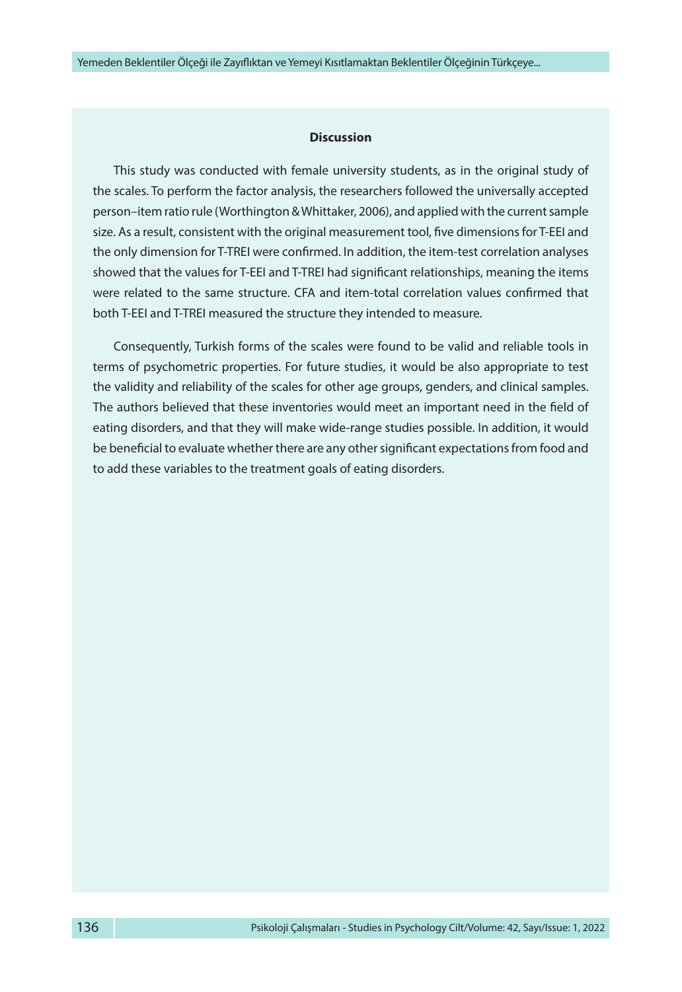#### **Discussion**

This study was conducted with female university students, as in the original study of the scales. To perform the factor analysis, the researchers followed the universally accepted person–item ratio rule (Worthington & Whittaker, 2006), and applied with the current sample size. As a result, consistent with the original measurement tool, five dimensions for T-EEI and the only dimension for T-TREI were confirmed. In addition, the item-test correlation analyses showed that the values for T-EEI and T-TREI had significant relationships, meaning the items were related to the same structure. CFA and item-total correlation values confirmed that both T-EEI and T-TREI measured the structure they intended to measure.

Consequently, Turkish forms of the scales were found to be valid and reliable tools in terms of psychometric properties. For future studies, it would be also appropriate to test the validity and reliability of the scales for other age groups, genders, and clinical samples. The authors believed that these inventories would meet an important need in the field of eating disorders, and that they will make wide-range studies possible. In addition, it would be beneficial to evaluate whether there are any other significant expectations from food and to add these variables to the treatment goals of eating disorders.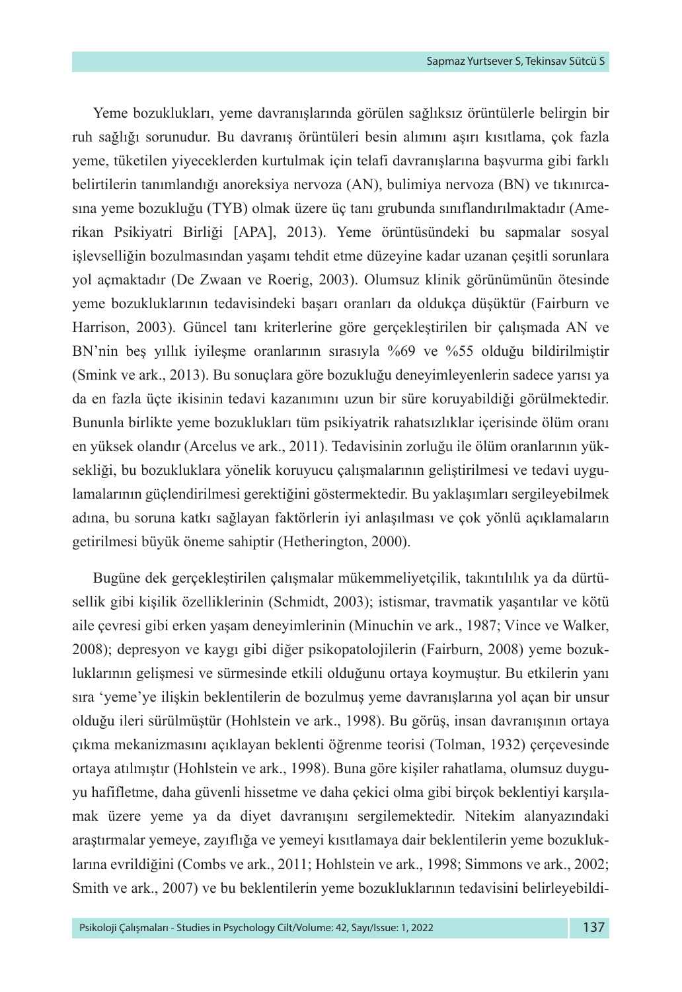Yeme bozuklukları, yeme davranışlarında görülen sağlıksız örüntülerle belirgin bir ruh sağlığı sorunudur. Bu davranış örüntüleri besin alımını aşırı kısıtlama, çok fazla yeme, tüketilen yiyeceklerden kurtulmak için telafi davranışlarına başvurma gibi farklı belirtilerin tanımlandığı anoreksiya nervoza (AN), bulimiya nervoza (BN) ve tıkınırcasına yeme bozukluğu (TYB) olmak üzere üç tanı grubunda sınıflandırılmaktadır (Amerikan Psikiyatri Birliği [APA], 2013). Yeme örüntüsündeki bu sapmalar sosyal işlevselliğin bozulmasından yaşamı tehdit etme düzeyine kadar uzanan çeşitli sorunlara yol açmaktadır (De Zwaan ve Roerig, 2003). Olumsuz klinik görünümünün ötesinde yeme bozukluklarının tedavisindeki başarı oranları da oldukça düşüktür (Fairburn ve Harrison, 2003). Güncel tanı kriterlerine göre gerçekleştirilen bir çalışmada AN ve BN'nin beş yıllık iyileşme oranlarının sırasıyla %69 ve %55 olduğu bildirilmiştir (Smink ve ark., 2013). Bu sonuçlara göre bozukluğu deneyimleyenlerin sadece yarısı ya da en fazla üçte ikisinin tedavi kazanımını uzun bir süre koruyabildiği görülmektedir. Bununla birlikte yeme bozuklukları tüm psikiyatrik rahatsızlıklar içerisinde ölüm oranı en yüksek olandır (Arcelus ve ark., 2011). Tedavisinin zorluğu ile ölüm oranlarının yüksekliği, bu bozukluklara yönelik koruyucu çalışmalarının geliştirilmesi ve tedavi uygulamalarının güçlendirilmesi gerektiğini göstermektedir. Bu yaklaşımları sergileyebilmek adına, bu soruna katkı sağlayan faktörlerin iyi anlaşılması ve çok yönlü açıklamaların getirilmesi büyük öneme sahiptir (Hetherington, 2000).

Bugüne dek gerçekleştirilen çalışmalar mükemmeliyetçilik, takıntılılık ya da dürtüsellik gibi kişilik özelliklerinin (Schmidt, 2003); istismar, travmatik yaşantılar ve kötü aile çevresi gibi erken yaşam deneyimlerinin (Minuchin ve ark., 1987; Vince ve Walker, 2008); depresyon ve kaygı gibi diğer psikopatolojilerin (Fairburn, 2008) yeme bozukluklarının gelişmesi ve sürmesinde etkili olduğunu ortaya koymuştur. Bu etkilerin yanı sıra 'yeme'ye ilişkin beklentilerin de bozulmuş yeme davranışlarına yol açan bir unsur olduğu ileri sürülmüştür (Hohlstein ve ark., 1998). Bu görüş, insan davranışının ortaya çıkma mekanizmasını açıklayan beklenti öğrenme teorisi (Tolman, 1932) çerçevesinde ortaya atılmıştır (Hohlstein ve ark., 1998). Buna göre kişiler rahatlama, olumsuz duyguyu hafifletme, daha güvenli hissetme ve daha çekici olma gibi birçok beklentiyi karşılamak üzere yeme ya da diyet davranışını sergilemektedir. Nitekim alanyazındaki araştırmalar yemeye, zayıflığa ve yemeyi kısıtlamaya dair beklentilerin yeme bozukluklarına evrildiğini (Combs ve ark., 2011; Hohlstein ve ark., 1998; Simmons ve ark., 2002; Smith ve ark., 2007) ve bu beklentilerin yeme bozukluklarının tedavisini belirleyebildi-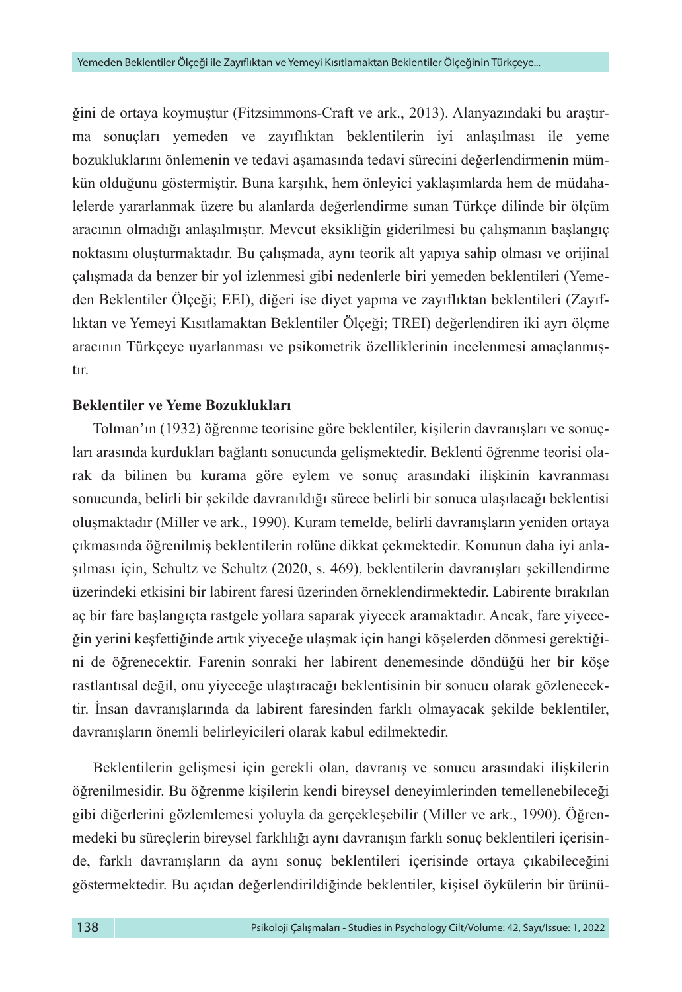ğini de ortaya koymuştur (Fitzsimmons-Craft ve ark., 2013). Alanyazındaki bu araştırma sonuçları yemeden ve zayıflıktan beklentilerin iyi anlaşılması ile yeme bozukluklarını önlemenin ve tedavi aşamasında tedavi sürecini değerlendirmenin mümkün olduğunu göstermiştir. Buna karşılık, hem önleyici yaklaşımlarda hem de müdahalelerde yararlanmak üzere bu alanlarda değerlendirme sunan Türkçe dilinde bir ölçüm aracının olmadığı anlaşılmıştır. Mevcut eksikliğin giderilmesi bu çalışmanın başlangıç noktasını oluşturmaktadır. Bu çalışmada, aynı teorik alt yapıya sahip olması ve orijinal çalışmada da benzer bir yol izlenmesi gibi nedenlerle biri yemeden beklentileri (Yemeden Beklentiler Ölçeği; EEI), diğeri ise diyet yapma ve zayıflıktan beklentileri (Zayıflıktan ve Yemeyi Kısıtlamaktan Beklentiler Ölçeği; TREI) değerlendiren iki ayrı ölçme aracının Türkçeye uyarlanması ve psikometrik özelliklerinin incelenmesi amaçlanmıştır.

## **Beklentiler ve Yeme Bozuklukları**

Tolman'ın (1932) öğrenme teorisine göre beklentiler, kişilerin davranışları ve sonuçları arasında kurdukları bağlantı sonucunda gelişmektedir. Beklenti öğrenme teorisi olarak da bilinen bu kurama göre eylem ve sonuç arasındaki ilişkinin kavranması sonucunda, belirli bir şekilde davranıldığı sürece belirli bir sonuca ulaşılacağı beklentisi oluşmaktadır (Miller ve ark., 1990). Kuram temelde, belirli davranışların yeniden ortaya çıkmasında öğrenilmiş beklentilerin rolüne dikkat çekmektedir. Konunun daha iyi anlaşılması için, Schultz ve Schultz (2020, s. 469), beklentilerin davranışları şekillendirme üzerindeki etkisini bir labirent faresi üzerinden örneklendirmektedir. Labirente bırakılan aç bir fare başlangıçta rastgele yollara saparak yiyecek aramaktadır. Ancak, fare yiyeceğin yerini keşfettiğinde artık yiyeceğe ulaşmak için hangi köşelerden dönmesi gerektiğini de öğrenecektir. Farenin sonraki her labirent denemesinde döndüğü her bir köşe rastlantısal değil, onu yiyeceğe ulaştıracağı beklentisinin bir sonucu olarak gözlenecektir. İnsan davranışlarında da labirent faresinden farklı olmayacak şekilde beklentiler, davranışların önemli belirleyicileri olarak kabul edilmektedir.

Beklentilerin gelişmesi için gerekli olan, davranış ve sonucu arasındaki ilişkilerin öğrenilmesidir. Bu öğrenme kişilerin kendi bireysel deneyimlerinden temellenebileceği gibi diğerlerini gözlemlemesi yoluyla da gerçekleşebilir (Miller ve ark., 1990). Öğrenmedeki bu süreçlerin bireysel farklılığı aynı davranışın farklı sonuç beklentileri içerisinde, farklı davranışların da aynı sonuç beklentileri içerisinde ortaya çıkabileceğini göstermektedir. Bu açıdan değerlendirildiğinde beklentiler, kişisel öykülerin bir ürünü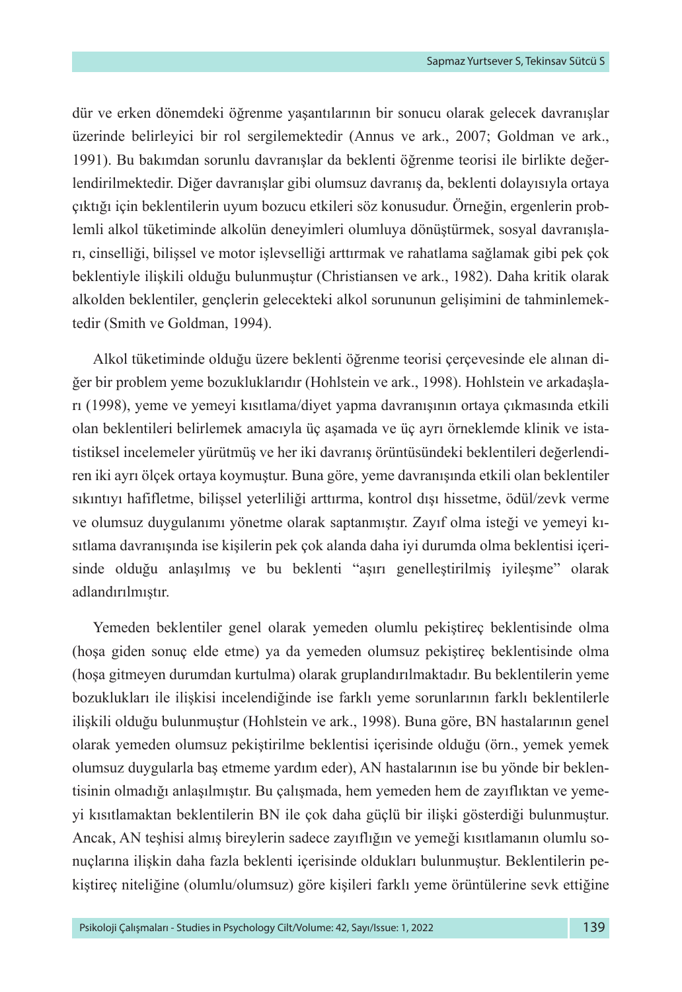dür ve erken dönemdeki öğrenme yaşantılarının bir sonucu olarak gelecek davranışlar üzerinde belirleyici bir rol sergilemektedir (Annus ve ark., 2007; Goldman ve ark., 1991). Bu bakımdan sorunlu davranışlar da beklenti öğrenme teorisi ile birlikte değerlendirilmektedir. Diğer davranışlar gibi olumsuz davranış da, beklenti dolayısıyla ortaya çıktığı için beklentilerin uyum bozucu etkileri söz konusudur. Örneğin, ergenlerin problemli alkol tüketiminde alkolün deneyimleri olumluya dönüştürmek, sosyal davranışları, cinselliği, bilişsel ve motor işlevselliği arttırmak ve rahatlama sağlamak gibi pek çok beklentiyle ilişkili olduğu bulunmuştur (Christiansen ve ark., 1982). Daha kritik olarak alkolden beklentiler, gençlerin gelecekteki alkol sorununun gelişimini de tahminlemektedir (Smith ve Goldman, 1994).

Alkol tüketiminde olduğu üzere beklenti öğrenme teorisi çerçevesinde ele alınan diğer bir problem yeme bozukluklarıdır (Hohlstein ve ark., 1998). Hohlstein ve arkadaşları (1998), yeme ve yemeyi kısıtlama/diyet yapma davranışının ortaya çıkmasında etkili olan beklentileri belirlemek amacıyla üç aşamada ve üç ayrı örneklemde klinik ve istatistiksel incelemeler yürütmüş ve her iki davranış örüntüsündeki beklentileri değerlendiren iki ayrı ölçek ortaya koymuştur. Buna göre, yeme davranışında etkili olan beklentiler sıkıntıyı hafifletme, bilişsel yeterliliği arttırma, kontrol dışı hissetme, ödül/zevk verme ve olumsuz duygulanımı yönetme olarak saptanmıştır. Zayıf olma isteği ve yemeyi kısıtlama davranışında ise kişilerin pek çok alanda daha iyi durumda olma beklentisi içerisinde olduğu anlaşılmış ve bu beklenti "aşırı genelleştirilmiş iyileşme" olarak adlandırılmıştır.

Yemeden beklentiler genel olarak yemeden olumlu pekiştireç beklentisinde olma (hoşa giden sonuç elde etme) ya da yemeden olumsuz pekiştireç beklentisinde olma (hoşa gitmeyen durumdan kurtulma) olarak gruplandırılmaktadır. Bu beklentilerin yeme bozuklukları ile ilişkisi incelendiğinde ise farklı yeme sorunlarının farklı beklentilerle ilişkili olduğu bulunmuştur (Hohlstein ve ark., 1998). Buna göre, BN hastalarının genel olarak yemeden olumsuz pekiştirilme beklentisi içerisinde olduğu (örn., yemek yemek olumsuz duygularla baş etmeme yardım eder), AN hastalarının ise bu yönde bir beklentisinin olmadığı anlaşılmıştır. Bu çalışmada, hem yemeden hem de zayıflıktan ve yemeyi kısıtlamaktan beklentilerin BN ile çok daha güçlü bir ilişki gösterdiği bulunmuştur. Ancak, AN teşhisi almış bireylerin sadece zayıflığın ve yemeği kısıtlamanın olumlu sonuçlarına ilişkin daha fazla beklenti içerisinde oldukları bulunmuştur. Beklentilerin pekiştireç niteliğine (olumlu/olumsuz) göre kişileri farklı yeme örüntülerine sevk ettiğine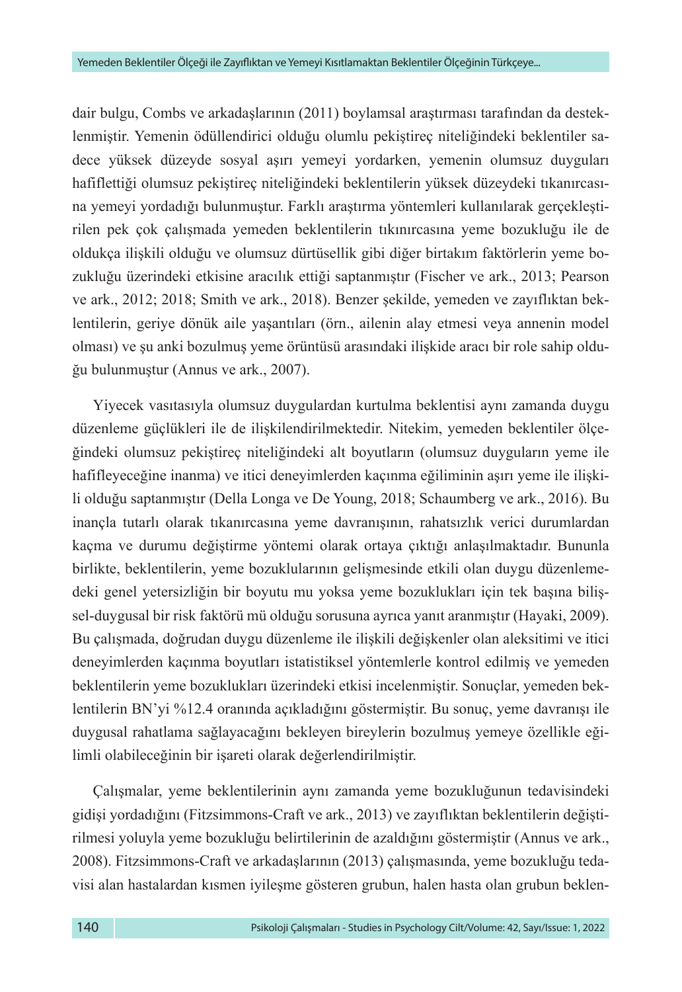dair bulgu, Combs ve arkadaşlarının (2011) boylamsal araştırması tarafından da desteklenmiştir. Yemenin ödüllendirici olduğu olumlu pekiştireç niteliğindeki beklentiler sadece yüksek düzeyde sosyal aşırı yemeyi yordarken, yemenin olumsuz duyguları hafiflettiği olumsuz pekiştireç niteliğindeki beklentilerin yüksek düzeydeki tıkanırcasına yemeyi yordadığı bulunmuştur. Farklı araştırma yöntemleri kullanılarak gerçekleştirilen pek çok çalışmada yemeden beklentilerin tıkınırcasına yeme bozukluğu ile de oldukça ilişkili olduğu ve olumsuz dürtüsellik gibi diğer birtakım faktörlerin yeme bozukluğu üzerindeki etkisine aracılık ettiği saptanmıştır (Fischer ve ark., 2013; Pearson ve ark., 2012; 2018; Smith ve ark., 2018). Benzer şekilde, yemeden ve zayıflıktan beklentilerin, geriye dönük aile yaşantıları (örn., ailenin alay etmesi veya annenin model olması) ve şu anki bozulmuş yeme örüntüsü arasındaki ilişkide aracı bir role sahip olduğu bulunmuştur (Annus ve ark., 2007).

Yiyecek vasıtasıyla olumsuz duygulardan kurtulma beklentisi aynı zamanda duygu düzenleme güçlükleri ile de ilişkilendirilmektedir. Nitekim, yemeden beklentiler ölçeğindeki olumsuz pekiştireç niteliğindeki alt boyutların (olumsuz duyguların yeme ile hafifleyeceğine inanma) ve itici deneyimlerden kaçınma eğiliminin aşırı yeme ile ilişkili olduğu saptanmıştır (Della Longa ve De Young, 2018; Schaumberg ve ark., 2016). Bu inançla tutarlı olarak tıkanırcasına yeme davranışının, rahatsızlık verici durumlardan kaçma ve durumu değiştirme yöntemi olarak ortaya çıktığı anlaşılmaktadır. Bununla birlikte, beklentilerin, yeme bozuklularının gelişmesinde etkili olan duygu düzenlemedeki genel yetersizliğin bir boyutu mu yoksa yeme bozuklukları için tek başına bilişsel-duygusal bir risk faktörü mü olduğu sorusuna ayrıca yanıt aranmıştır (Hayaki, 2009). Bu çalışmada, doğrudan duygu düzenleme ile ilişkili değişkenler olan aleksitimi ve itici deneyimlerden kaçınma boyutları istatistiksel yöntemlerle kontrol edilmiş ve yemeden beklentilerin yeme bozuklukları üzerindeki etkisi incelenmiştir. Sonuçlar, yemeden beklentilerin BN'yi %12.4 oranında açıkladığını göstermiştir. Bu sonuç, yeme davranışı ile duygusal rahatlama sağlayacağını bekleyen bireylerin bozulmuş yemeye özellikle eğilimli olabileceğinin bir işareti olarak değerlendirilmiştir.

Çalışmalar, yeme beklentilerinin aynı zamanda yeme bozukluğunun tedavisindeki gidişi yordadığını (Fitzsimmons-Craft ve ark., 2013) ve zayıflıktan beklentilerin değiştirilmesi yoluyla yeme bozukluğu belirtilerinin de azaldığını göstermiştir (Annus ve ark., 2008). Fitzsimmons-Craft ve arkadaşlarının (2013) çalışmasında, yeme bozukluğu tedavisi alan hastalardan kısmen iyileşme gösteren grubun, halen hasta olan grubun beklen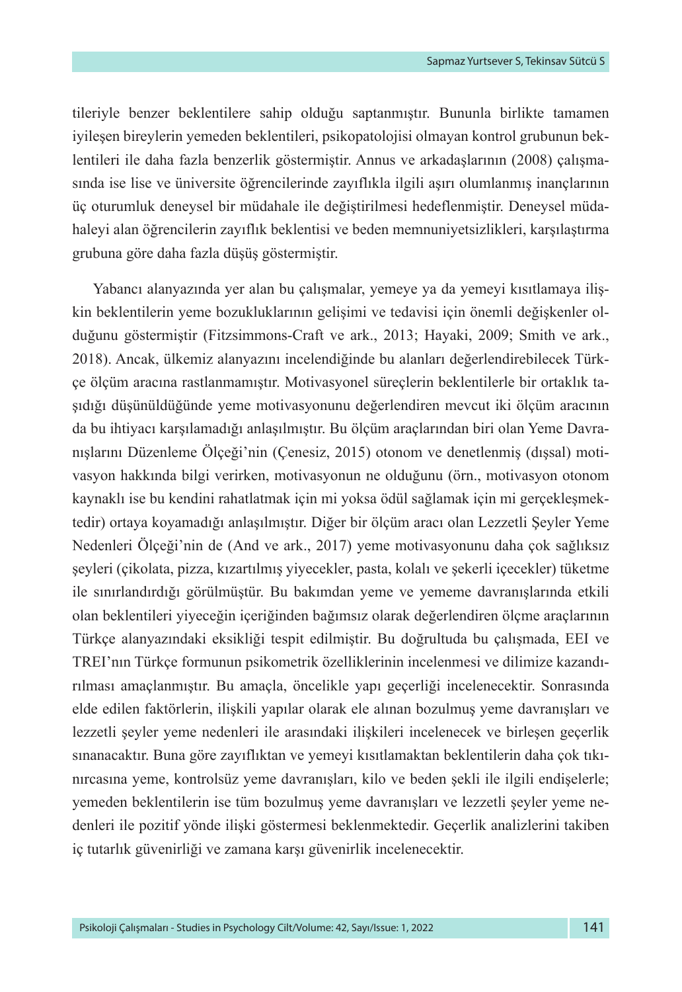tileriyle benzer beklentilere sahip olduğu saptanmıştır. Bununla birlikte tamamen iyileşen bireylerin yemeden beklentileri, psikopatolojisi olmayan kontrol grubunun beklentileri ile daha fazla benzerlik göstermiştir. Annus ve arkadaşlarının (2008) çalışmasında ise lise ve üniversite öğrencilerinde zayıflıkla ilgili aşırı olumlanmış inançlarının üç oturumluk deneysel bir müdahale ile değiştirilmesi hedeflenmiştir. Deneysel müdahaleyi alan öğrencilerin zayıflık beklentisi ve beden memnuniyetsizlikleri, karşılaştırma grubuna göre daha fazla düşüş göstermiştir.

Yabancı alanyazında yer alan bu çalışmalar, yemeye ya da yemeyi kısıtlamaya ilişkin beklentilerin yeme bozukluklarının gelişimi ve tedavisi için önemli değişkenler olduğunu göstermiştir (Fitzsimmons-Craft ve ark., 2013; Hayaki, 2009; Smith ve ark., 2018). Ancak, ülkemiz alanyazını incelendiğinde bu alanları değerlendirebilecek Türkçe ölçüm aracına rastlanmamıştır. Motivasyonel süreçlerin beklentilerle bir ortaklık taşıdığı düşünüldüğünde yeme motivasyonunu değerlendiren mevcut iki ölçüm aracının da bu ihtiyacı karşılamadığı anlaşılmıştır. Bu ölçüm araçlarından biri olan Yeme Davranışlarını Düzenleme Ölçeği'nin (Çenesiz, 2015) otonom ve denetlenmiş (dışsal) motivasyon hakkında bilgi verirken, motivasyonun ne olduğunu (örn., motivasyon otonom kaynaklı ise bu kendini rahatlatmak için mi yoksa ödül sağlamak için mi gerçekleşmektedir) ortaya koyamadığı anlaşılmıştır. Diğer bir ölçüm aracı olan Lezzetli Şeyler Yeme Nedenleri Ölçeği'nin de (And ve ark., 2017) yeme motivasyonunu daha çok sağlıksız şeyleri (çikolata, pizza, kızartılmış yiyecekler, pasta, kolalı ve şekerli içecekler) tüketme ile sınırlandırdığı görülmüştür. Bu bakımdan yeme ve yememe davranışlarında etkili olan beklentileri yiyeceğin içeriğinden bağımsız olarak değerlendiren ölçme araçlarının Türkçe alanyazındaki eksikliği tespit edilmiştir. Bu doğrultuda bu çalışmada, EEI ve TREI'nın Türkçe formunun psikometrik özelliklerinin incelenmesi ve dilimize kazandırılması amaçlanmıştır. Bu amaçla, öncelikle yapı geçerliği incelenecektir. Sonrasında elde edilen faktörlerin, ilişkili yapılar olarak ele alınan bozulmuş yeme davranışları ve lezzetli şeyler yeme nedenleri ile arasındaki ilişkileri incelenecek ve birleşen geçerlik sınanacaktır. Buna göre zayıflıktan ve yemeyi kısıtlamaktan beklentilerin daha çok tıkınırcasına yeme, kontrolsüz yeme davranışları, kilo ve beden şekli ile ilgili endişelerle; yemeden beklentilerin ise tüm bozulmuş yeme davranışları ve lezzetli şeyler yeme nedenleri ile pozitif yönde ilişki göstermesi beklenmektedir. Geçerlik analizlerini takiben iç tutarlık güvenirliği ve zamana karşı güvenirlik incelenecektir.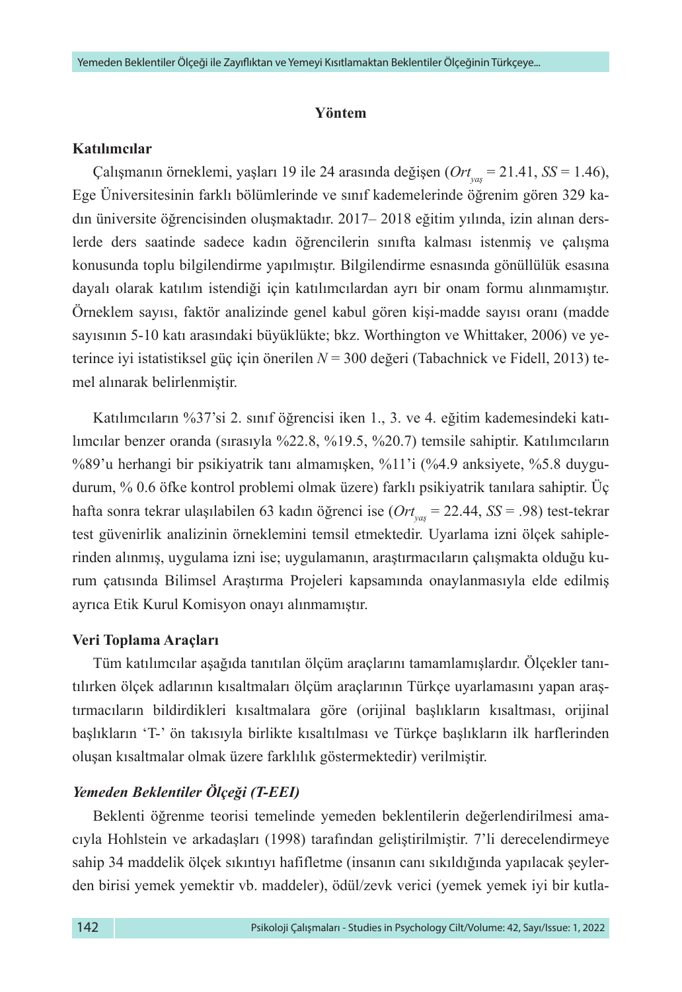#### **Yöntem**

### **Katılımcılar**

Çalışmanın örneklemi, yaşları 19 ile 24 arasında değişen (*Ortyaş* = 21.41, *SS* = 1.46), Ege Üniversitesinin farklı bölümlerinde ve sınıf kademelerinde öğrenim gören 329 kadın üniversite öğrencisinden oluşmaktadır. 2017– 2018 eğitim yılında, izin alınan derslerde ders saatinde sadece kadın öğrencilerin sınıfta kalması istenmiş ve çalışma konusunda toplu bilgilendirme yapılmıştır. Bilgilendirme esnasında gönüllülük esasına dayalı olarak katılım istendiği için katılımcılardan ayrı bir onam formu alınmamıştır. Örneklem sayısı, faktör analizinde genel kabul gören kişi-madde sayısı oranı (madde sayısının 5-10 katı arasındaki büyüklükte; bkz. Worthington ve Whittaker, 2006) ve yeterince iyi istatistiksel güç için önerilen *N* = 300 değeri (Tabachnick ve Fidell, 2013) temel alınarak belirlenmiştir.

Katılımcıların %37'si 2. sınıf öğrencisi iken 1., 3. ve 4. eğitim kademesindeki katılımcılar benzer oranda (sırasıyla %22.8, %19.5, %20.7) temsile sahiptir. Katılımcıların %89'u herhangi bir psikiyatrik tanı almamışken, %11'i (%4.9 anksiyete, %5.8 duygudurum, % 0.6 öfke kontrol problemi olmak üzere) farklı psikiyatrik tanılara sahiptir. Üç hafta sonra tekrar ulaşılabilen 63 kadın öğrenci ise (*Ortyaş* = 22.44, *SS* = .98) test-tekrar test güvenirlik analizinin örneklemini temsil etmektedir. Uyarlama izni ölçek sahiplerinden alınmış, uygulama izni ise; uygulamanın, araştırmacıların çalışmakta olduğu kurum çatısında Bilimsel Araştırma Projeleri kapsamında onaylanmasıyla elde edilmiş ayrıca Etik Kurul Komisyon onayı alınmamıştır.

### **Veri Toplama Araçları**

Tüm katılımcılar aşağıda tanıtılan ölçüm araçlarını tamamlamışlardır. Ölçekler tanıtılırken ölçek adlarının kısaltmaları ölçüm araçlarının Türkçe uyarlamasını yapan araştırmacıların bildirdikleri kısaltmalara göre (orijinal başlıkların kısaltması, orijinal başlıkların 'T-' ön takısıyla birlikte kısaltılması ve Türkçe başlıkların ilk harflerinden oluşan kısaltmalar olmak üzere farklılık göstermektedir) verilmiştir.

## *Yemeden Beklentiler Ölçeği (T-EEI)*

Beklenti öğrenme teorisi temelinde yemeden beklentilerin değerlendirilmesi amacıyla Hohlstein ve arkadaşları (1998) tarafından geliştirilmiştir. 7'li derecelendirmeye sahip 34 maddelik ölçek sıkıntıyı hafifletme (insanın canı sıkıldığında yapılacak şeylerden birisi yemek yemektir vb. maddeler), ödül/zevk verici (yemek yemek iyi bir kutla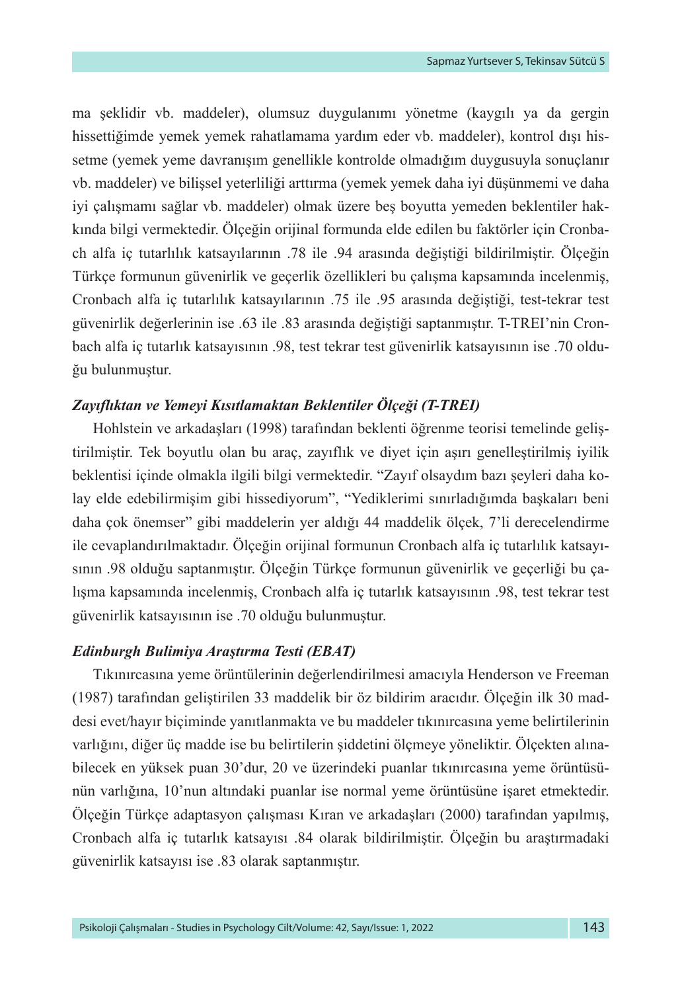ma şeklidir vb. maddeler), olumsuz duygulanımı yönetme (kaygılı ya da gergin hissettiğimde yemek yemek rahatlamama yardım eder vb. maddeler), kontrol dışı hissetme (yemek yeme davranışım genellikle kontrolde olmadığım duygusuyla sonuçlanır vb. maddeler) ve bilişsel yeterliliği arttırma (yemek yemek daha iyi düşünmemi ve daha iyi çalışmamı sağlar vb. maddeler) olmak üzere beş boyutta yemeden beklentiler hakkında bilgi vermektedir. Ölçeğin orijinal formunda elde edilen bu faktörler için Cronbach alfa iç tutarlılık katsayılarının .78 ile .94 arasında değiştiği bildirilmiştir. Ölçeğin Türkçe formunun güvenirlik ve geçerlik özellikleri bu çalışma kapsamında incelenmiş, Cronbach alfa iç tutarlılık katsayılarının .75 ile .95 arasında değiştiği, test-tekrar test güvenirlik değerlerinin ise .63 ile .83 arasında değiştiği saptanmıştır. T-TREI'nin Cronbach alfa iç tutarlık katsayısının .98, test tekrar test güvenirlik katsayısının ise .70 olduğu bulunmuştur.

## *Zayıflıktan ve Yemeyi Kısıtlamaktan Beklentiler Ölçeği (T-TREI)*

Hohlstein ve arkadaşları (1998) tarafından beklenti öğrenme teorisi temelinde geliştirilmiştir. Tek boyutlu olan bu araç, zayıflık ve diyet için aşırı genelleştirilmiş iyilik beklentisi içinde olmakla ilgili bilgi vermektedir. "Zayıf olsaydım bazı şeyleri daha kolay elde edebilirmişim gibi hissediyorum", "Yediklerimi sınırladığımda başkaları beni daha çok önemser" gibi maddelerin yer aldığı 44 maddelik ölçek, 7'li derecelendirme ile cevaplandırılmaktadır. Ölçeğin orijinal formunun Cronbach alfa iç tutarlılık katsayısının .98 olduğu saptanmıştır. Ölçeğin Türkçe formunun güvenirlik ve geçerliği bu çalışma kapsamında incelenmiş, Cronbach alfa iç tutarlık katsayısının .98, test tekrar test güvenirlik katsayısının ise .70 olduğu bulunmuştur.

## *Edinburgh Bulimiya Araştırma Testi (EBAT)*

Tıkınırcasına yeme örüntülerinin değerlendirilmesi amacıyla Henderson ve Freeman (1987) tarafından geliştirilen 33 maddelik bir öz bildirim aracıdır. Ölçeğin ilk 30 maddesi evet/hayır biçiminde yanıtlanmakta ve bu maddeler tıkınırcasına yeme belirtilerinin varlığını, diğer üç madde ise bu belirtilerin şiddetini ölçmeye yöneliktir. Ölçekten alınabilecek en yüksek puan 30'dur, 20 ve üzerindeki puanlar tıkınırcasına yeme örüntüsünün varlığına, 10'nun altındaki puanlar ise normal yeme örüntüsüne işaret etmektedir. Ölçeğin Türkçe adaptasyon çalışması Kıran ve arkadaşları (2000) tarafından yapılmış, Cronbach alfa iç tutarlık katsayısı .84 olarak bildirilmiştir. Ölçeğin bu araştırmadaki güvenirlik katsayısı ise .83 olarak saptanmıştır.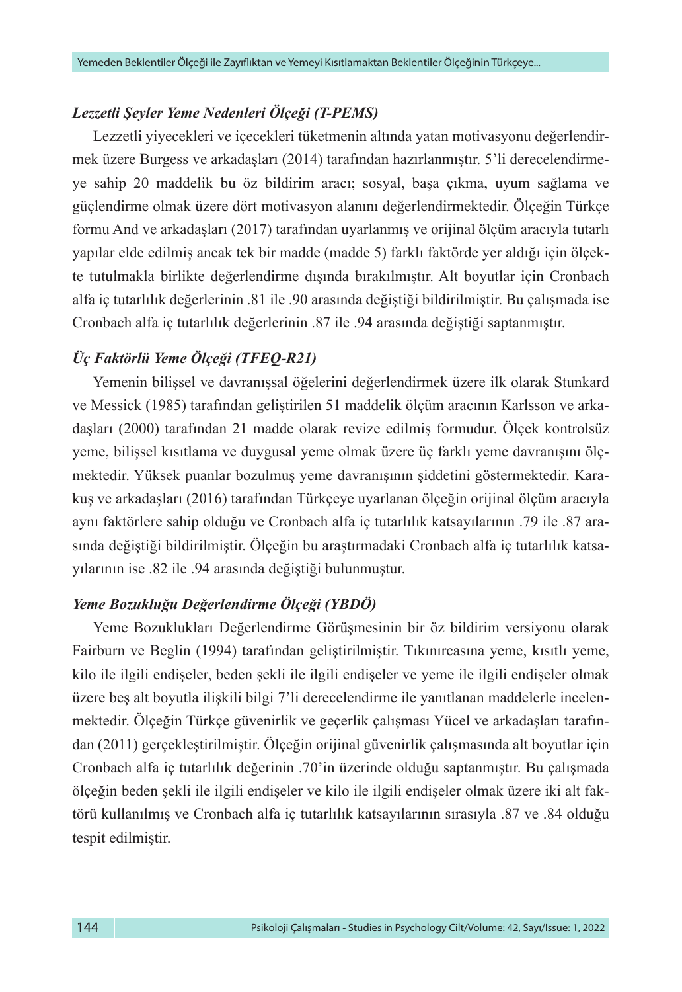### *Lezzetli Şeyler Yeme Nedenleri Ölçeği (T-PEMS)*

Lezzetli yiyecekleri ve içecekleri tüketmenin altında yatan motivasyonu değerlendirmek üzere Burgess ve arkadaşları (2014) tarafından hazırlanmıştır. 5'li derecelendirmeye sahip 20 maddelik bu öz bildirim aracı; sosyal, başa çıkma, uyum sağlama ve güçlendirme olmak üzere dört motivasyon alanını değerlendirmektedir. Ölçeğin Türkçe formu And ve arkadaşları (2017) tarafından uyarlanmış ve orijinal ölçüm aracıyla tutarlı yapılar elde edilmiş ancak tek bir madde (madde 5) farklı faktörde yer aldığı için ölçekte tutulmakla birlikte değerlendirme dışında bırakılmıştır. Alt boyutlar için Cronbach alfa iç tutarlılık değerlerinin .81 ile .90 arasında değiştiği bildirilmiştir. Bu çalışmada ise Cronbach alfa iç tutarlılık değerlerinin .87 ile .94 arasında değiştiği saptanmıştır.

## *Üç Faktörlü Yeme Ölçeği (TFEQ-R21)*

Yemenin bilişsel ve davranışsal öğelerini değerlendirmek üzere ilk olarak Stunkard ve Messick (1985) tarafından geliştirilen 51 maddelik ölçüm aracının Karlsson ve arkadaşları (2000) tarafından 21 madde olarak revize edilmiş formudur. Ölçek kontrolsüz yeme, bilişsel kısıtlama ve duygusal yeme olmak üzere üç farklı yeme davranışını ölçmektedir. Yüksek puanlar bozulmuş yeme davranışının şiddetini göstermektedir. Karakuş ve arkadaşları (2016) tarafından Türkçeye uyarlanan ölçeğin orijinal ölçüm aracıyla aynı faktörlere sahip olduğu ve Cronbach alfa iç tutarlılık katsayılarının .79 ile .87 arasında değiştiği bildirilmiştir. Ölçeğin bu araştırmadaki Cronbach alfa iç tutarlılık katsayılarının ise .82 ile .94 arasında değiştiği bulunmuştur.

## *Yeme Bozukluğu Değerlendirme Ölçeği (YBDÖ)*

Yeme Bozuklukları Değerlendirme Görüşmesinin bir öz bildirim versiyonu olarak Fairburn ve Beglin (1994) tarafından geliştirilmiştir. Tıkınırcasına yeme, kısıtlı yeme, kilo ile ilgili endişeler, beden şekli ile ilgili endişeler ve yeme ile ilgili endişeler olmak üzere beş alt boyutla ilişkili bilgi 7'li derecelendirme ile yanıtlanan maddelerle incelenmektedir. Ölçeğin Türkçe güvenirlik ve geçerlik çalışması Yücel ve arkadaşları tarafından (2011) gerçekleştirilmiştir. Ölçeğin orijinal güvenirlik çalışmasında alt boyutlar için Cronbach alfa iç tutarlılık değerinin .70'in üzerinde olduğu saptanmıştır. Bu çalışmada ölçeğin beden şekli ile ilgili endişeler ve kilo ile ilgili endişeler olmak üzere iki alt faktörü kullanılmış ve Cronbach alfa iç tutarlılık katsayılarının sırasıyla .87 ve .84 olduğu tespit edilmiştir.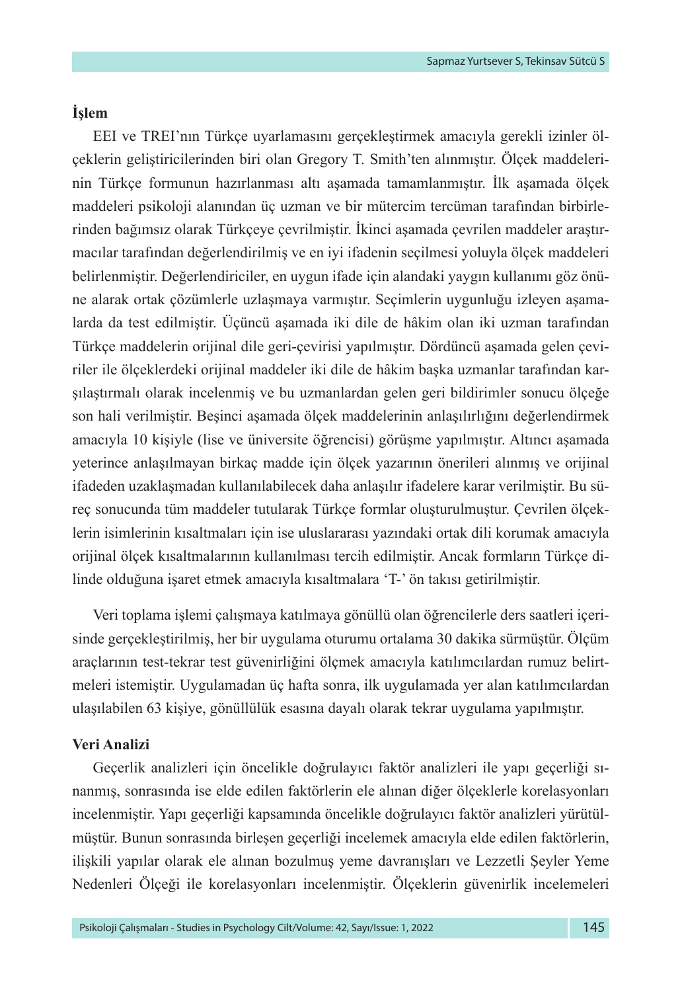## **İşlem**

EEI ve TREI'nın Türkçe uyarlamasını gerçekleştirmek amacıyla gerekli izinler ölçeklerin geliştiricilerinden biri olan Gregory T. Smith'ten alınmıştır. Ölçek maddelerinin Türkçe formunun hazırlanması altı aşamada tamamlanmıştır. İlk aşamada ölçek maddeleri psikoloji alanından üç uzman ve bir mütercim tercüman tarafından birbirlerinden bağımsız olarak Türkçeye çevrilmiştir. İkinci aşamada çevrilen maddeler araştırmacılar tarafından değerlendirilmiş ve en iyi ifadenin seçilmesi yoluyla ölçek maddeleri belirlenmiştir. Değerlendiriciler, en uygun ifade için alandaki yaygın kullanımı göz önüne alarak ortak çözümlerle uzlaşmaya varmıştır. Seçimlerin uygunluğu izleyen aşamalarda da test edilmiştir. Üçüncü aşamada iki dile de hâkim olan iki uzman tarafından Türkçe maddelerin orijinal dile geri-çevirisi yapılmıştır. Dördüncü aşamada gelen çeviriler ile ölçeklerdeki orijinal maddeler iki dile de hâkim başka uzmanlar tarafından karşılaştırmalı olarak incelenmiş ve bu uzmanlardan gelen geri bildirimler sonucu ölçeğe son hali verilmiştir. Beşinci aşamada ölçek maddelerinin anlaşılırlığını değerlendirmek amacıyla 10 kişiyle (lise ve üniversite öğrencisi) görüşme yapılmıştır. Altıncı aşamada yeterince anlaşılmayan birkaç madde için ölçek yazarının önerileri alınmış ve orijinal ifadeden uzaklaşmadan kullanılabilecek daha anlaşılır ifadelere karar verilmiştir. Bu süreç sonucunda tüm maddeler tutularak Türkçe formlar oluşturulmuştur. Çevrilen ölçeklerin isimlerinin kısaltmaları için ise uluslararası yazındaki ortak dili korumak amacıyla orijinal ölçek kısaltmalarının kullanılması tercih edilmiştir. Ancak formların Türkçe dilinde olduğuna işaret etmek amacıyla kısaltmalara 'T-' ön takısı getirilmiştir.

Veri toplama işlemi çalışmaya katılmaya gönüllü olan öğrencilerle ders saatleri içerisinde gerçekleştirilmiş, her bir uygulama oturumu ortalama 30 dakika sürmüştür. Ölçüm araçlarının test-tekrar test güvenirliğini ölçmek amacıyla katılımcılardan rumuz belirtmeleri istemiştir. Uygulamadan üç hafta sonra, ilk uygulamada yer alan katılımcılardan ulaşılabilen 63 kişiye, gönüllülük esasına dayalı olarak tekrar uygulama yapılmıştır.

#### **Veri Analizi**

Geçerlik analizleri için öncelikle doğrulayıcı faktör analizleri ile yapı geçerliği sınanmış, sonrasında ise elde edilen faktörlerin ele alınan diğer ölçeklerle korelasyonları incelenmiştir. Yapı geçerliği kapsamında öncelikle doğrulayıcı faktör analizleri yürütülmüştür. Bunun sonrasında birleşen geçerliği incelemek amacıyla elde edilen faktörlerin, ilişkili yapılar olarak ele alınan bozulmuş yeme davranışları ve Lezzetli Şeyler Yeme Nedenleri Ölçeği ile korelasyonları incelenmiştir. Ölçeklerin güvenirlik incelemeleri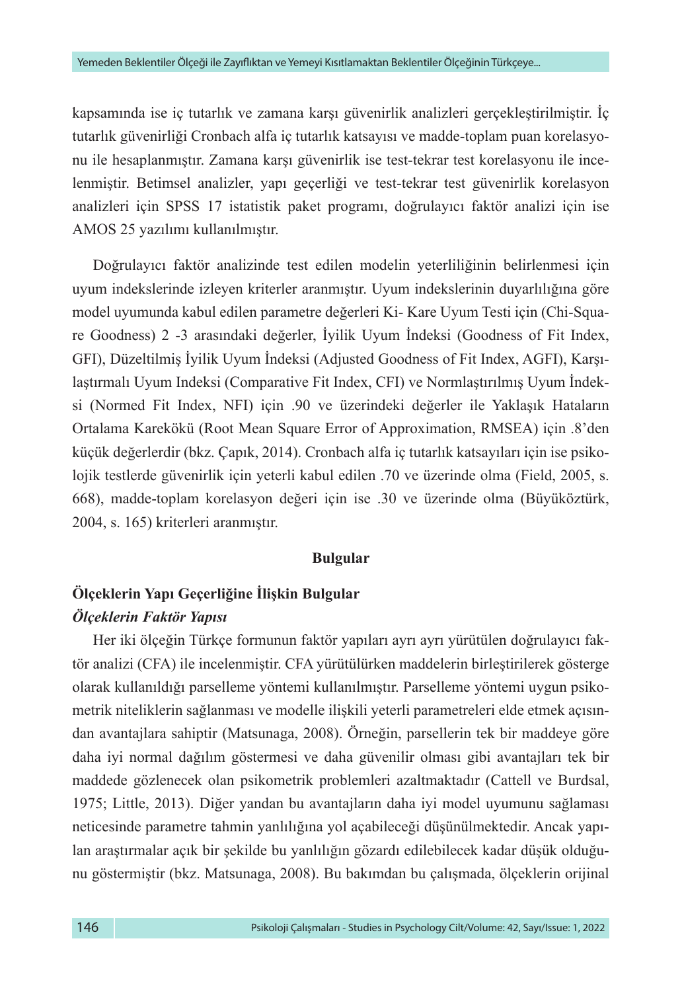kapsamında ise iç tutarlık ve zamana karşı güvenirlik analizleri gerçekleştirilmiştir. İç tutarlık güvenirliği Cronbach alfa iç tutarlık katsayısı ve madde-toplam puan korelasyonu ile hesaplanmıştır. Zamana karşı güvenirlik ise test-tekrar test korelasyonu ile incelenmiştir. Betimsel analizler, yapı geçerliği ve test-tekrar test güvenirlik korelasyon analizleri için SPSS 17 istatistik paket programı, doğrulayıcı faktör analizi için ise AMOS 25 yazılımı kullanılmıştır.

Doğrulayıcı faktör analizinde test edilen modelin yeterliliğinin belirlenmesi için uyum indekslerinde izleyen kriterler aranmıştır. Uyum indekslerinin duyarlılığına göre model uyumunda kabul edilen parametre değerleri Ki- Kare Uyum Testi için (Chi-Square Goodness) 2 -3 arasındaki değerler, İyilik Uyum İndeksi (Goodness of Fit Index, GFI), Düzeltilmiş İyilik Uyum İndeksi (Adjusted Goodness of Fit Index, AGFI), Karşılaştırmalı Uyum Indeksi (Comparative Fit Index, CFI) ve Normlaştırılmış Uyum İndeksi (Normed Fit Index, NFI) için .90 ve üzerindeki değerler ile Yaklaşık Hataların Ortalama Karekökü (Root Mean Square Error of Approximation, RMSEA) için .8'den küçük değerlerdir (bkz. Çapık, 2014). Cronbach alfa iç tutarlık katsayıları için ise psikolojik testlerde güvenirlik için yeterli kabul edilen .70 ve üzerinde olma (Field, 2005, s. 668), madde-toplam korelasyon değeri için ise .30 ve üzerinde olma (Büyüköztürk, 2004, s. 165) kriterleri aranmıştır.

### **Bulgular**

## **Ölçeklerin Yapı Geçerliğine İlişkin Bulgular** *Ölçeklerin Faktör Yapısı*

Her iki ölçeğin Türkçe formunun faktör yapıları ayrı ayrı yürütülen doğrulayıcı faktör analizi (CFA) ile incelenmiştir. CFA yürütülürken maddelerin birleştirilerek gösterge olarak kullanıldığı parselleme yöntemi kullanılmıştır. Parselleme yöntemi uygun psikometrik niteliklerin sağlanması ve modelle ilişkili yeterli parametreleri elde etmek açısından avantajlara sahiptir (Matsunaga, 2008). Örneğin, parsellerin tek bir maddeye göre daha iyi normal dağılım göstermesi ve daha güvenilir olması gibi avantajları tek bir maddede gözlenecek olan psikometrik problemleri azaltmaktadır (Cattell ve Burdsal, 1975; Little, 2013). Diğer yandan bu avantajların daha iyi model uyumunu sağlaması neticesinde parametre tahmin yanlılığına yol açabileceği düşünülmektedir. Ancak yapılan araştırmalar açık bir şekilde bu yanlılığın gözardı edilebilecek kadar düşük olduğunu göstermiştir (bkz. Matsunaga, 2008). Bu bakımdan bu çalışmada, ölçeklerin orijinal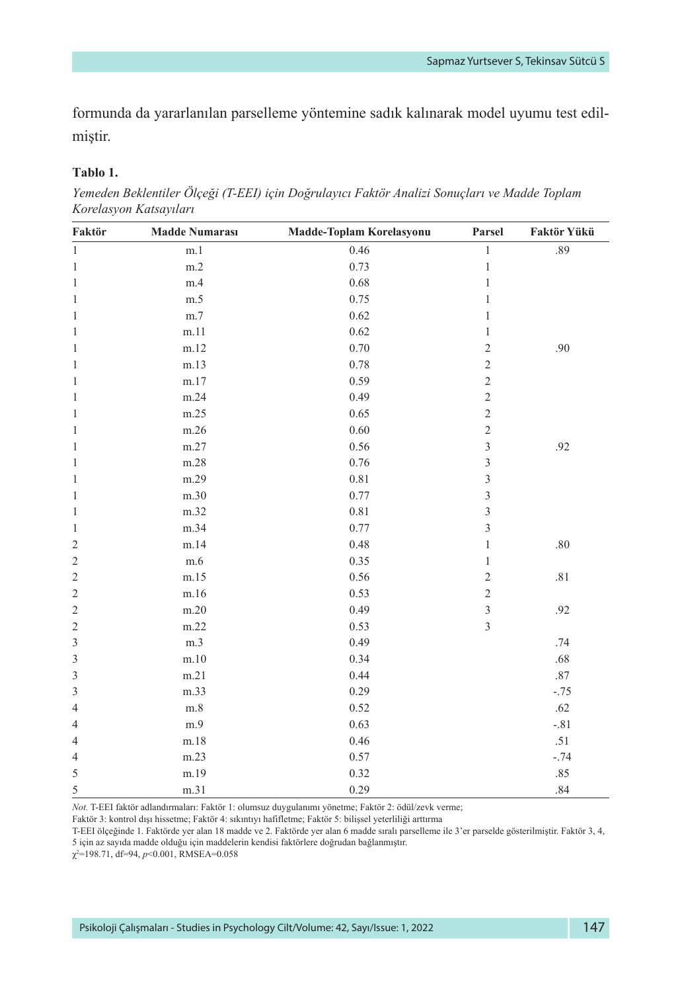formunda da yararlanılan parselleme yöntemine sadık kalınarak model uyumu test edilmiştir.

#### **Tablo 1.**

*Yemeden Beklentiler Ölçeği (T-EEI) için Doğrulayıcı Faktör Analizi Sonuçları ve Madde Toplam Korelasyon Katsayıları*

| Faktör         | <b>Madde Numarası</b> | Madde-Toplam Korelasyonu | Parsel                  | Faktör Yükü |
|----------------|-----------------------|--------------------------|-------------------------|-------------|
| $\overline{1}$ | m.1                   | 0.46                     | $\,1$                   | .89         |
| $\mathbf{1}$   | m.2                   | 0.73                     | $\mathbf{1}$            |             |
| $\mathbf{1}$   | m.4                   | 0.68                     | 1                       |             |
| $\mathbf{1}$   | m.5                   | 0.75                     | 1                       |             |
| $\mathbf{1}$   | m.7                   | 0.62                     | 1                       |             |
| 1              | m.11                  | 0.62                     | $\,1$                   |             |
| 1              | m.12                  | 0.70                     | $\overline{c}$          | .90         |
| $\mathbf{1}$   | m.13                  | 0.78                     | $\overline{c}$          |             |
| $\mathbf{1}$   | m.17                  | 0.59                     | $\overline{c}$          |             |
| $\mathbf{1}$   | m.24                  | 0.49                     | $\overline{c}$          |             |
| $\mathbf{1}$   | m.25                  | 0.65                     | $\overline{c}$          |             |
| $\mathbf{1}$   | m.26                  | 0.60                     | $\overline{c}$          |             |
| $\mathbf{1}$   | m.27                  | 0.56                     | 3                       | .92         |
| 1              | m.28                  | 0.76                     | 3                       |             |
| 1              | m.29                  | 0.81                     | 3                       |             |
| $\mathbf{1}$   | m.30                  | 0.77                     | 3                       |             |
| $\mathbf{1}$   | m.32                  | 0.81                     | 3                       |             |
| 1              | m.34                  | 0.77                     | 3                       |             |
| $\overline{2}$ | m.14                  | 0.48                     | $\,1$                   | .80         |
| $\overline{2}$ | m.6                   | 0.35                     | 1                       |             |
| $\overline{2}$ | m.15                  | 0.56                     | $\overline{\mathbf{c}}$ | .81         |
| $\overline{2}$ | m.16                  | 0.53                     | $\overline{c}$          |             |
| 2              | m.20                  | 0.49                     | 3                       | .92         |
| $\mathfrak{2}$ | m.22                  | 0.53                     | 3                       |             |
| 3              | m.3                   | 0.49                     |                         | .74         |
| $\mathfrak{Z}$ | m.10                  | 0.34                     |                         | .68         |
| 3              | m.21                  | 0.44                     |                         | $.87\,$     |
| 3              | m.33                  | 0.29                     |                         | $-.75$      |
| $\overline{4}$ | m.8                   | 0.52                     |                         | .62         |
| 4              | m.9                   | 0.63                     |                         | $-.81$      |
| $\overline{4}$ | m.18                  | 0.46                     |                         | $.51\,$     |
| $\overline{4}$ | m.23                  | 0.57                     |                         | $-.74$      |
| 5              | m.19                  | 0.32                     |                         | .85         |
| 5              | m.31                  | 0.29                     |                         | .84         |

*Not.* T-EEI faktör adlandırmaları: Faktör 1: olumsuz duygulanımı yönetme; Faktör 2: ödül/zevk verme;

Faktör 3: kontrol dışı hissetme; Faktör 4: sıkıntıyı hafifletme; Faktör 5: bilişsel yeterliliği arttırma

T-EEI ölçeğinde 1. Faktörde yer alan 18 madde ve 2. Faktörde yer alan 6 madde sıralı parselleme ile 3'er parselde gösterilmiştir. Faktör 3, 4, 5 için az sayıda madde olduğu için maddelerin kendisi faktörlere doğrudan bağlanmıştır.

χ2 =198.71, df=94, *p*<0.001, RMSEA=0.058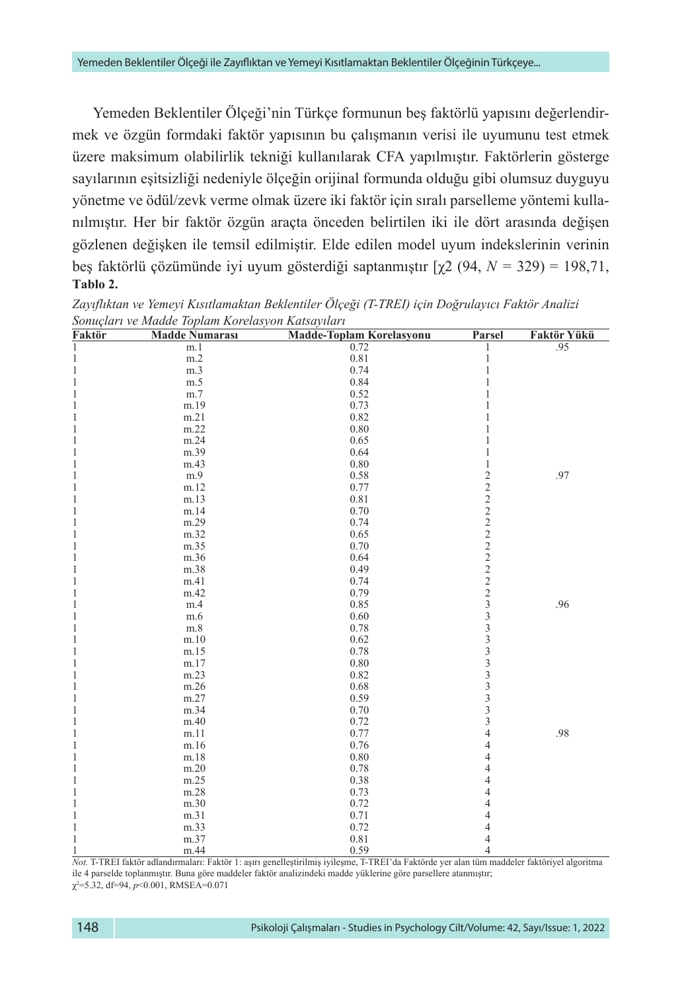Yemeden Beklentiler Ölçeği'nin Türkçe formunun beş faktörlü yapısını değerlendirmek ve özgün formdaki faktör yapısının bu çalışmanın verisi ile uyumunu test etmek üzere maksimum olabilirlik tekniği kullanılarak CFA yapılmıştır. Faktörlerin gösterge sayılarının eşitsizliği nedeniyle ölçeğin orijinal formunda olduğu gibi olumsuz duyguyu yönetme ve ödül/zevk verme olmak üzere iki faktör için sıralı parselleme yöntemi kullanılmıştır. Her bir faktör özgün araçta önceden belirtilen iki ile dört arasında değişen gözlenen değişken ile temsil edilmiştir. Elde edilen model uyum indekslerinin verinin beş faktörlü çözümünde iyi uyum gösterdiği saptanmıştır [χ2 (94, *N =* 329) = 198,71, **Tablo 2.**

| Faktör       | <b>Madde Numarası</b> | Madde-Toplam Korelasyonu | Parsel         | Faktör Yükü |
|--------------|-----------------------|--------------------------|----------------|-------------|
| 1            | m.1                   | 0.72                     | $\mathbf 1$    | .95         |
| $\mathbf{1}$ | m.2                   | 0.81                     | $\mathbf{1}$   |             |
| $\mathbf{1}$ | m.3                   | 0.74                     | $\mathbf{1}$   |             |
| 1            | m.5                   | 0.84                     | 1              |             |
| 1            | m.7                   | 0.52                     | 1              |             |
| 1            | m.19                  | 0.73                     | $\mathbf{1}$   |             |
| 1            | m.21                  | 0.82                     | 1              |             |
| 1            | m.22                  | 0.80                     | 1              |             |
| $\mathbf{1}$ | m.24                  | 0.65                     | 1              |             |
| 1            | m.39                  | 0.64                     | 1              |             |
| 1            | m.43                  | 0.80                     | $\mathbf 1$    |             |
| 1            | m.9                   | 0.58                     |                | .97         |
| 1            | m.12                  | 0.77                     |                |             |
| 1            | m.13                  | 0.81                     |                |             |
| 1            | m.14                  | 0.70                     |                |             |
| $\mathbf{1}$ | m.29                  | 0.74                     |                |             |
| $\mathbf 1$  | m.32                  | 0.65                     |                |             |
| $\mathbf{1}$ | m.35                  | 0.70                     |                |             |
| $\mathbf{1}$ | m.36                  | 0.64                     |                |             |
| 1            | m.38                  | 0.49                     |                |             |
| $\mathbf{1}$ | m.41                  | 0.74                     |                |             |
| $\mathbf{1}$ | m.42                  | 0.79                     |                |             |
| $\mathbf{1}$ | m.4                   | 0.85                     |                | .96         |
| 1            | m.6                   | 0.60                     |                |             |
| $\mathbf{1}$ | m.8                   | 0.78                     |                |             |
| 1            | m.10                  | 0.62                     |                |             |
| $\mathbf{1}$ | m.15                  | 0.78                     |                |             |
| 1            | m.17                  | 0.80                     |                |             |
| 1            | m.23                  | 0.82                     |                |             |
| 1            | m.26                  | 0.68                     |                |             |
| $\mathbf{1}$ | m.27                  | 0.59                     |                |             |
| 1            | m.34                  | 0.70                     |                |             |
| $\mathbf{1}$ | m.40                  | 0.72                     |                |             |
| $\mathbf{1}$ | m.11                  | 0.77                     | $\overline{4}$ | .98         |
| $\mathbf 1$  | m.16                  | 0.76                     | $\overline{4}$ |             |
| 1            | m.18                  | 0.80                     | $\overline{4}$ |             |
| $\mathbf{1}$ | m.20                  | 0.78                     | $\overline{4}$ |             |
| 1            | m.25                  | 0.38                     | $\overline{4}$ |             |
| 1            | m.28                  | 0.73                     | $\overline{4}$ |             |
| 1            | m.30                  | 0.72                     | $\overline{4}$ |             |
| $\mathbf{1}$ | m.31                  | 0.71                     | $\overline{4}$ |             |
| 1            | m.33                  | 0.72                     | 4              |             |
| 1            | m.37                  | 0.81                     | $\overline{4}$ |             |
| 1            | m.44                  | 0.59                     | $\overline{4}$ |             |

*Zayıflıktan ve Yemeyi Kısıtlamaktan Beklentiler Ölçeği (T-TREI) için Doğrulayıcı Faktör Analizi Sonuçları ve Madde Toplam Korelasyon Katsayıları*

1 m.44 0.59 4 *Not.* T-TREI faktör adlandırmaları: Faktör 1: aşırı genelleştirilmiş iyileşme, T-TREI'da Faktörde yer alan tüm maddeler faktöriyel algoritma ile 4 parselde toplanmıştır. Buna göre maddeler faktör analizindeki madde yüklerine göre parsellere atanmıştır; χ2 =5.32, df=94, *p*<0.001, RMSEA=0.071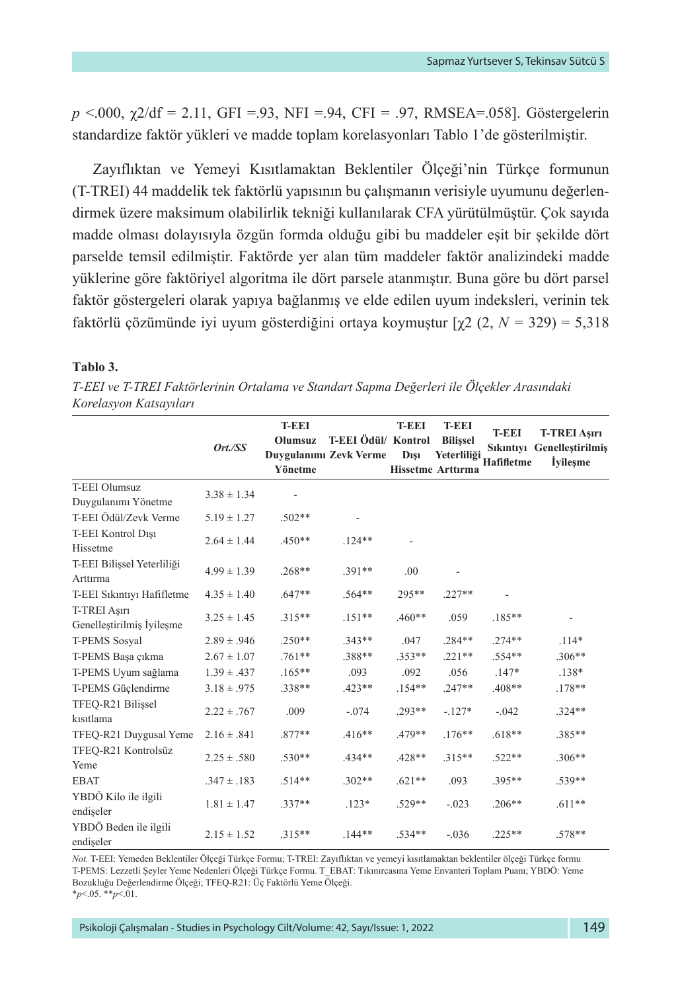*p* <.000, χ2/df = 2.11, GFI =.93, NFI =.94, CFI = .97, RMSEA=.058]. Göstergelerin standardize faktör yükleri ve madde toplam korelasyonları Tablo 1'de gösterilmiştir.

Zayıflıktan ve Yemeyi Kısıtlamaktan Beklentiler Ölçeği'nin Türkçe formunun (T-TREI) 44 maddelik tek faktörlü yapısının bu çalışmanın verisiyle uyumunu değerlendirmek üzere maksimum olabilirlik tekniği kullanılarak CFA yürütülmüştür. Çok sayıda madde olması dolayısıyla özgün formda olduğu gibi bu maddeler eşit bir şekilde dört parselde temsil edilmiştir. Faktörde yer alan tüm maddeler faktör analizindeki madde yüklerine göre faktöriyel algoritma ile dört parsele atanmıştır. Buna göre bu dört parsel faktör göstergeleri olarak yapıya bağlanmış ve elde edilen uyum indeksleri, verinin tek faktörlü çözümünde iyi uyum gösterdiğini ortaya koymuştur [χ2 (2, *N =* 329) = 5,318

#### **Tablo 3.**

|                                        | Ort./SS         | <b>T-EEI</b><br>Olumsuz<br>Yönetme | T-EEI Ödül/ Kontrol<br>Duygulanımı Zevk Verme | <b>T-EEI</b><br><b>D</b> <sub>151</sub> | <b>T-EEI</b><br><b>Bilissel</b><br>Yeterliliği<br><b>Hissetme Arttırma</b> | <b>T-EEI</b><br><b>Hafifletme</b> | <b>T-TREI Asırı</b><br>Sıkıntıyı Genellestirilmiş<br><i>i</i> vilesme |
|----------------------------------------|-----------------|------------------------------------|-----------------------------------------------|-----------------------------------------|----------------------------------------------------------------------------|-----------------------------------|-----------------------------------------------------------------------|
| <b>T-EEI Olumsuz</b>                   | $3.38 \pm 1.34$ |                                    |                                               |                                         |                                                                            |                                   |                                                                       |
| Duygulanımı Yönetme                    |                 |                                    |                                               |                                         |                                                                            |                                   |                                                                       |
| T-EEI Ödül/Zevk Verme                  | $5.19 \pm 1.27$ | $.502**$                           |                                               |                                         |                                                                            |                                   |                                                                       |
| T-EEI Kontrol Disi<br>Hissetme         | $2.64 \pm 1.44$ | $.450**$                           | $.124**$                                      |                                         |                                                                            |                                   |                                                                       |
| T-EEI Bilișsel Yeterliliği<br>Arttırma | $4.99 \pm 1.39$ | $.268**$                           | $.391**$                                      | .00                                     |                                                                            |                                   |                                                                       |
| T-EEI Sıkıntıyı Hafifletme             | $4.35 \pm 1.40$ | $.647**$                           | $.564**$                                      | $295**$                                 | $.227**$                                                                   |                                   |                                                                       |
| T-TREI Aşırı                           |                 |                                    | $.151**$                                      | $.460**$                                |                                                                            |                                   |                                                                       |
| Genellestirilmis İyilesme              | $3.25 \pm 1.45$ | $.315**$                           |                                               |                                         | .059                                                                       | $.185***$                         |                                                                       |
| <b>T-PEMS Sosyal</b>                   | $2.89 \pm .946$ | $.250**$                           | $.343**$                                      | .047                                    | $.284**$                                                                   | $.274**$                          | $.114*$                                                               |
| T-PEMS Başa çıkma                      | $2.67 \pm 1.07$ | $.761**$                           | .388**                                        | $.353**$                                | $.221**$                                                                   | $.554**$                          | $.306**$                                                              |
| T-PEMS Uyum sağlama                    | $1.39 \pm .437$ | $.165**$                           | .093                                          | .092                                    | .056                                                                       | $.147*$                           | $.138*$                                                               |
| T-PEMS Güclendirme                     | $3.18 \pm .975$ | $.338**$                           | $.423**$                                      | $.154**$                                | $.247**$                                                                   | .408**                            | $.178**$                                                              |
| TFEO-R21 Bilissel<br>kisitlama         | $2.22 \pm .767$ | .009                               | $-.074$                                       | $.293**$                                | $-.127*$                                                                   | $-.042$                           | $.324**$                                                              |
| TFEQ-R21 Duygusal Yeme                 | $2.16 \pm .841$ | $.877**$                           | $.416**$                                      | $.479**$                                | $.176***$                                                                  | $.618**$                          | $.385**$                                                              |
| TFEO-R21 Kontrolsüz<br>Yeme            | $2.25 \pm .580$ | $.530**$                           | $.434**$                                      | $.428**$                                | $.315**$                                                                   | $.522**$                          | $.306**$                                                              |
| <b>EBAT</b>                            | $.347 \pm .183$ | $.514**$                           | $.302**$                                      | $.621**$                                | .093                                                                       | $.395**$                          | $.539**$                                                              |
| YBDÖ Kilo ile ilgili<br>endiseler      | $1.81 \pm 1.47$ | $.337**$                           | $.123*$                                       | $.529**$                                | $-.023$                                                                    | $.206**$                          | $.611**$                                                              |
| YBDÖ Beden ile ilgili<br>endiseler     | $2.15 \pm 1.52$ | $.315**$                           | $.144**$                                      | $.534**$                                | $-.036$                                                                    | $.225**$                          | $.578**$                                                              |

*T-EEI ve T-TREI Faktörlerinin Ortalama ve Standart Sapma Değerleri ile Ölçekler Arasındaki Korelasyon Katsayıları* 

*Not.* T-EEI: Yemeden Beklentiler Ölçeği Türkçe Formu; T-TREI: Zayıflıktan ve yemeyi kısıtlamaktan beklentiler ölçeği Türkçe formu T-PEMS: Lezzetli Şeyler Yeme Nedenleri Ölçeği Türkçe Formu. T\_EBAT: Tıkınırcasına Yeme Envanteri Toplam Puanı; YBDÖ: Yeme Bozukluğu Değerlendirme Ölçeği; TFEQ-R21: Üç Faktörlü Yeme Ölçeği. \**p*<.05. \*\**p*<.01.

Psikoloji Çalışmaları - Studies in Psychology Cilt/Volume: 42, Sayı/Issue: 1, 2022 149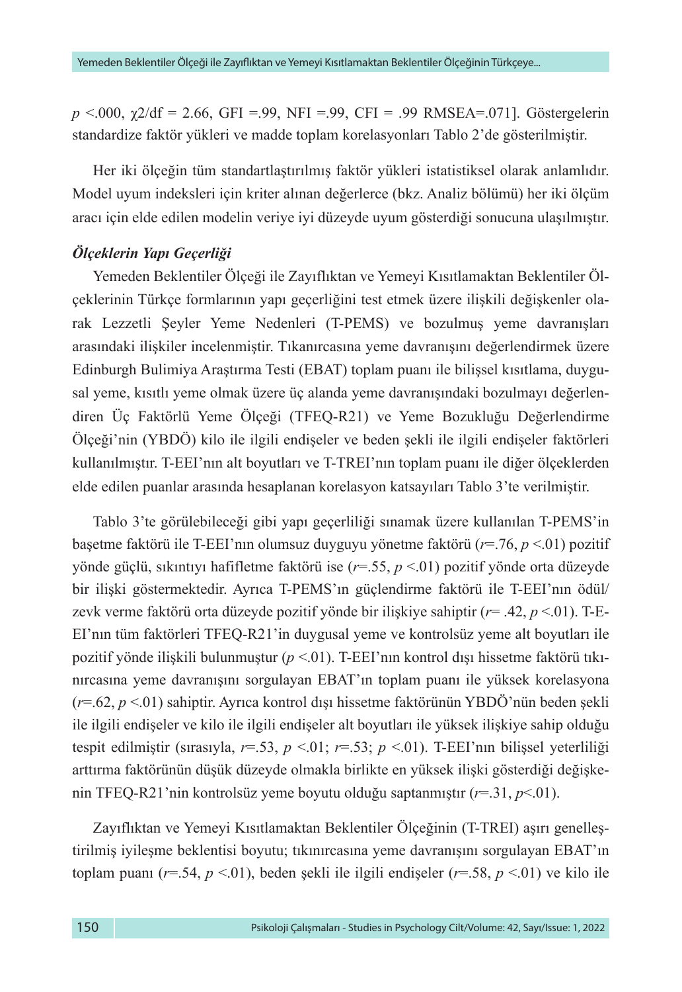*p* <.000, χ2/df = 2.66, GFI =.99, NFI =.99, CFI = .99 RMSEA=.071]. Göstergelerin standardize faktör yükleri ve madde toplam korelasyonları Tablo 2'de gösterilmiştir.

Her iki ölçeğin tüm standartlaştırılmış faktör yükleri istatistiksel olarak anlamlıdır. Model uyum indeksleri için kriter alınan değerlerce (bkz. Analiz bölümü) her iki ölçüm aracı için elde edilen modelin veriye iyi düzeyde uyum gösterdiği sonucuna ulaşılmıştır.

## *Ölçeklerin Yapı Geçerliği*

Yemeden Beklentiler Ölçeği ile Zayıflıktan ve Yemeyi Kısıtlamaktan Beklentiler Ölçeklerinin Türkçe formlarının yapı geçerliğini test etmek üzere ilişkili değişkenler olarak Lezzetli Şeyler Yeme Nedenleri (T-PEMS) ve bozulmuş yeme davranışları arasındaki ilişkiler incelenmiştir. Tıkanırcasına yeme davranışını değerlendirmek üzere Edinburgh Bulimiya Araştırma Testi (EBAT) toplam puanı ile bilişsel kısıtlama, duygusal yeme, kısıtlı yeme olmak üzere üç alanda yeme davranışındaki bozulmayı değerlendiren Üç Faktörlü Yeme Ölçeği (TFEQ-R21) ve Yeme Bozukluğu Değerlendirme Ölçeği'nin (YBDÖ) kilo ile ilgili endişeler ve beden şekli ile ilgili endişeler faktörleri kullanılmıştır. T-EEI'nın alt boyutları ve T-TREI'nın toplam puanı ile diğer ölçeklerden elde edilen puanlar arasında hesaplanan korelasyon katsayıları Tablo 3'te verilmiştir.

Tablo 3'te görülebileceği gibi yapı geçerliliği sınamak üzere kullanılan T-PEMS'in başetme faktörü ile T-EEI'nın olumsuz duyguyu yönetme faktörü (*r*=.76, *p* <.01) pozitif yönde güçlü, sıkıntıyı hafifletme faktörü ise (*r*=.55, *p* <.01) pozitif yönde orta düzeyde bir ilişki göstermektedir. Ayrıca T-PEMS'ın güçlendirme faktörü ile T-EEI'nın ödül/ zevk verme faktörü orta düzeyde pozitif yönde bir ilişkiye sahiptir (*r*= .42, *p* <.01). T-E-EI'nın tüm faktörleri TFEQ-R21'in duygusal yeme ve kontrolsüz yeme alt boyutları ile pozitif yönde ilişkili bulunmuştur (*p* <.01). T-EEI'nın kontrol dışı hissetme faktörü tıkınırcasına yeme davranışını sorgulayan EBAT'ın toplam puanı ile yüksek korelasyona (*r*=.62, *p* <.01) sahiptir. Ayrıca kontrol dışı hissetme faktörünün YBDÖ'nün beden şekli ile ilgili endişeler ve kilo ile ilgili endişeler alt boyutları ile yüksek ilişkiye sahip olduğu tespit edilmiştir (sırasıyla, *r*=.53, *p* <.01; *r*=.53; *p* <.01). T-EEI'nın bilişsel yeterliliği arttırma faktörünün düşük düzeyde olmakla birlikte en yüksek ilişki gösterdiği değişkenin TFEQ-R21'nin kontrolsüz yeme boyutu olduğu saptanmıştır (*r*=.31, *p*<.01).

Zayıflıktan ve Yemeyi Kısıtlamaktan Beklentiler Ölçeğinin (T-TREI) aşırı genelleştirilmiş iyileşme beklentisi boyutu; tıkınırcasına yeme davranışını sorgulayan EBAT'ın toplam puanı (*r*=.54, *p* <.01), beden şekli ile ilgili endişeler (*r*=.58, *p* <.01) ve kilo ile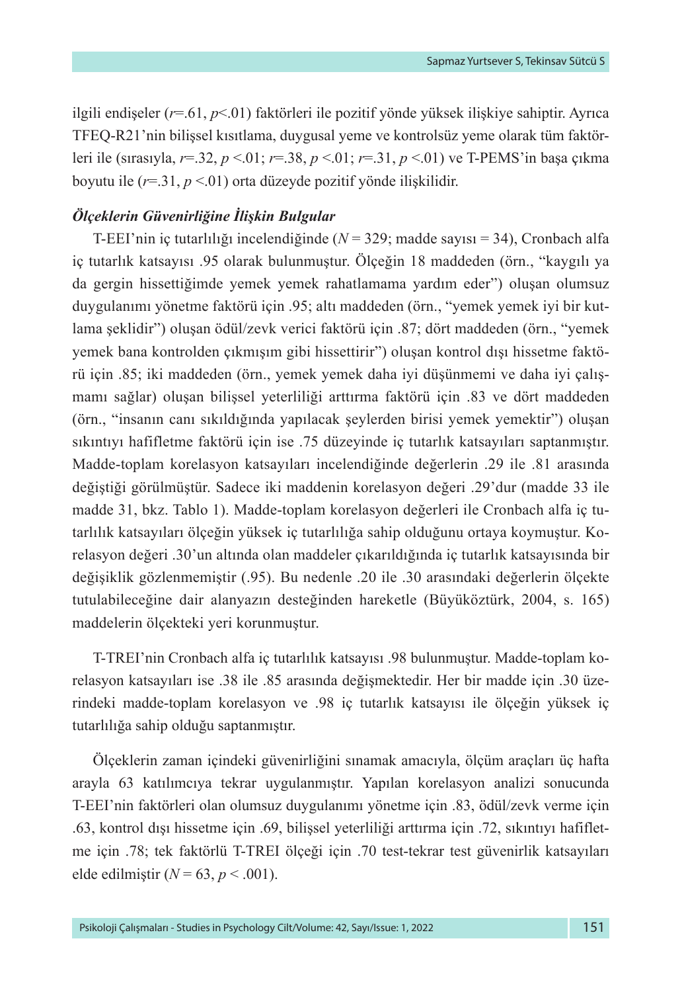ilgili endişeler (*r*=.61, *p*<.01) faktörleri ile pozitif yönde yüksek ilişkiye sahiptir. Ayrıca TFEQ-R21'nin bilişsel kısıtlama, duygusal yeme ve kontrolsüz yeme olarak tüm faktörleri ile (sırasıyla, *r*=.32, *p* <.01; *r*=.38, *p* <.01; *r*=.31, *p* <.01) ve T-PEMS'in başa çıkma boyutu ile (*r*=.31, *p* <.01) orta düzeyde pozitif yönde ilişkilidir.

### *Ölçeklerin Güvenirliğine İlişkin Bulgular*

T-EEI'nin iç tutarlılığı incelendiğinde (*N* = 329; madde sayısı = 34), Cronbach alfa iç tutarlık katsayısı .95 olarak bulunmuştur. Ölçeğin 18 maddeden (örn., "kaygılı ya da gergin hissettiğimde yemek yemek rahatlamama yardım eder") oluşan olumsuz duygulanımı yönetme faktörü için .95; altı maddeden (örn., "yemek yemek iyi bir kutlama şeklidir") oluşan ödül/zevk verici faktörü için .87; dört maddeden (örn., "yemek yemek bana kontrolden çıkmışım gibi hissettirir") oluşan kontrol dışı hissetme faktörü için .85; iki maddeden (örn., yemek yemek daha iyi düşünmemi ve daha iyi çalışmamı sağlar) oluşan bilişsel yeterliliği arttırma faktörü için .83 ve dört maddeden (örn., "insanın canı sıkıldığında yapılacak şeylerden birisi yemek yemektir") oluşan sıkıntıyı hafifletme faktörü için ise .75 düzeyinde iç tutarlık katsayıları saptanmıştır. Madde-toplam korelasyon katsayıları incelendiğinde değerlerin .29 ile .81 arasında değiştiği görülmüştür. Sadece iki maddenin korelasyon değeri .29'dur (madde 33 ile madde 31, bkz. Tablo 1). Madde-toplam korelasyon değerleri ile Cronbach alfa iç tutarlılık katsayıları ölçeğin yüksek iç tutarlılığa sahip olduğunu ortaya koymuştur. Korelasyon değeri .30'un altında olan maddeler çıkarıldığında iç tutarlık katsayısında bir değişiklik gözlenmemiştir (.95). Bu nedenle .20 ile .30 arasındaki değerlerin ölçekte tutulabileceğine dair alanyazın desteğinden hareketle (Büyüköztürk, 2004, s. 165) maddelerin ölçekteki yeri korunmuştur.

T-TREI'nin Cronbach alfa iç tutarlılık katsayısı .98 bulunmuştur. Madde-toplam korelasyon katsayıları ise .38 ile .85 arasında değişmektedir. Her bir madde için .30 üzerindeki madde-toplam korelasyon ve .98 iç tutarlık katsayısı ile ölçeğin yüksek iç tutarlılığa sahip olduğu saptanmıştır.

Ölçeklerin zaman içindeki güvenirliğini sınamak amacıyla, ölçüm araçları üç hafta arayla 63 katılımcıya tekrar uygulanmıştır. Yapılan korelasyon analizi sonucunda T-EEI'nin faktörleri olan olumsuz duygulanımı yönetme için .83, ödül/zevk verme için .63, kontrol dışı hissetme için .69, bilişsel yeterliliği arttırma için .72, sıkıntıyı hafifletme için .78; tek faktörlü T-TREI ölçeği için .70 test-tekrar test güvenirlik katsayıları elde edilmiştir  $(N = 63, p < .001)$ .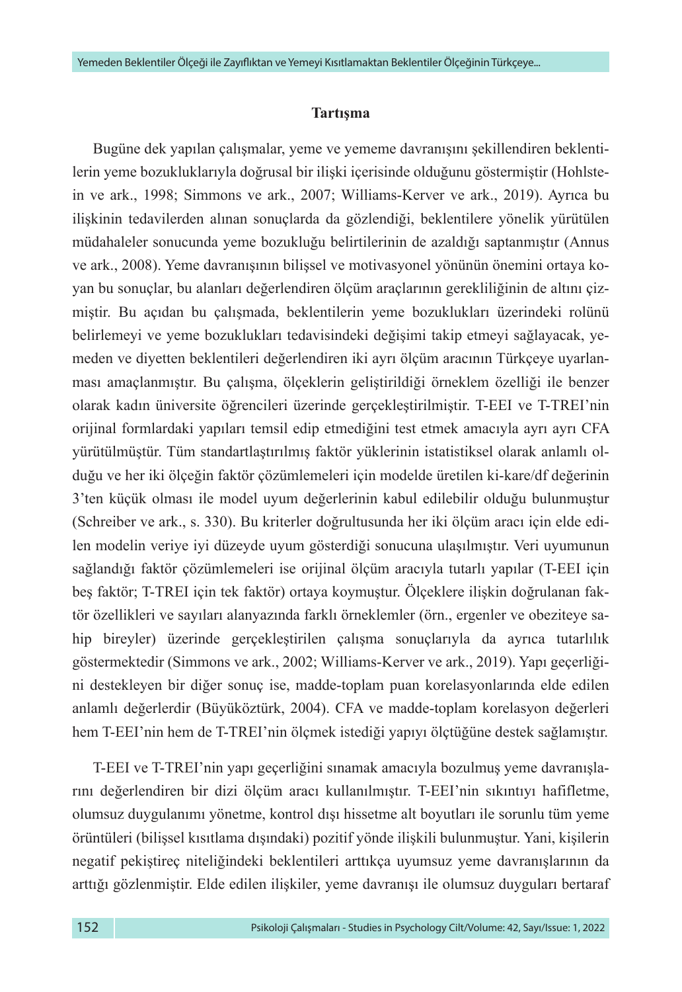#### **Tartışma**

Bugüne dek yapılan çalışmalar, yeme ve yememe davranışını şekillendiren beklentilerin yeme bozukluklarıyla doğrusal bir ilişki içerisinde olduğunu göstermiştir (Hohlstein ve ark., 1998; Simmons ve ark., 2007; Williams-Kerver ve ark., 2019). Ayrıca bu ilişkinin tedavilerden alınan sonuçlarda da gözlendiği, beklentilere yönelik yürütülen müdahaleler sonucunda yeme bozukluğu belirtilerinin de azaldığı saptanmıştır (Annus ve ark., 2008). Yeme davranışının bilişsel ve motivasyonel yönünün önemini ortaya koyan bu sonuçlar, bu alanları değerlendiren ölçüm araçlarının gerekliliğinin de altını çizmiştir. Bu açıdan bu çalışmada, beklentilerin yeme bozuklukları üzerindeki rolünü belirlemeyi ve yeme bozuklukları tedavisindeki değişimi takip etmeyi sağlayacak, yemeden ve diyetten beklentileri değerlendiren iki ayrı ölçüm aracının Türkçeye uyarlanması amaçlanmıştır. Bu çalışma, ölçeklerin geliştirildiği örneklem özelliği ile benzer olarak kadın üniversite öğrencileri üzerinde gerçekleştirilmiştir. T-EEI ve T-TREI'nin orijinal formlardaki yapıları temsil edip etmediğini test etmek amacıyla ayrı ayrı CFA yürütülmüştür. Tüm standartlaştırılmış faktör yüklerinin istatistiksel olarak anlamlı olduğu ve her iki ölçeğin faktör çözümlemeleri için modelde üretilen ki-kare/df değerinin 3'ten küçük olması ile model uyum değerlerinin kabul edilebilir olduğu bulunmuştur (Schreiber ve ark., s. 330). Bu kriterler doğrultusunda her iki ölçüm aracı için elde edilen modelin veriye iyi düzeyde uyum gösterdiği sonucuna ulaşılmıştır. Veri uyumunun sağlandığı faktör çözümlemeleri ise orijinal ölçüm aracıyla tutarlı yapılar (T-EEI için beş faktör; T-TREI için tek faktör) ortaya koymuştur. Ölçeklere ilişkin doğrulanan faktör özellikleri ve sayıları alanyazında farklı örneklemler (örn., ergenler ve obeziteye sahip bireyler) üzerinde gerçekleştirilen çalışma sonuçlarıyla da ayrıca tutarlılık göstermektedir (Simmons ve ark., 2002; Williams-Kerver ve ark., 2019). Yapı geçerliğini destekleyen bir diğer sonuç ise, madde-toplam puan korelasyonlarında elde edilen anlamlı değerlerdir (Büyüköztürk, 2004). CFA ve madde-toplam korelasyon değerleri hem T-EEI'nin hem de T-TREI'nin ölçmek istediği yapıyı ölçtüğüne destek sağlamıştır.

T-EEI ve T-TREI'nin yapı geçerliğini sınamak amacıyla bozulmuş yeme davranışlarını değerlendiren bir dizi ölçüm aracı kullanılmıştır. T-EEI'nin sıkıntıyı hafifletme, olumsuz duygulanımı yönetme, kontrol dışı hissetme alt boyutları ile sorunlu tüm yeme örüntüleri (bilişsel kısıtlama dışındaki) pozitif yönde ilişkili bulunmuştur. Yani, kişilerin negatif pekiştireç niteliğindeki beklentileri arttıkça uyumsuz yeme davranışlarının da arttığı gözlenmiştir. Elde edilen ilişkiler, yeme davranışı ile olumsuz duyguları bertaraf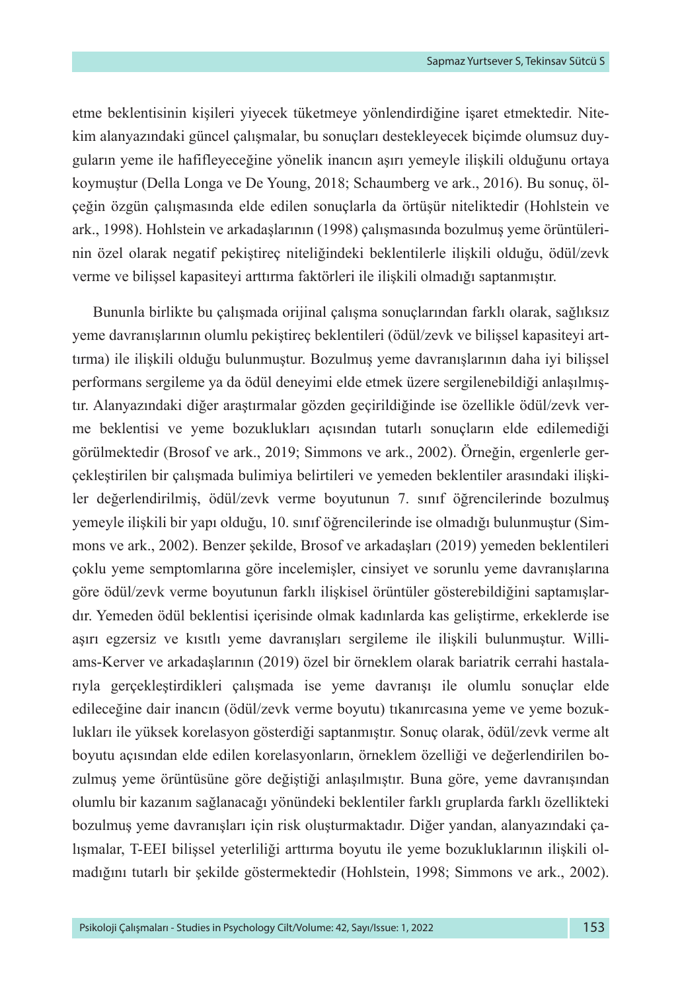etme beklentisinin kişileri yiyecek tüketmeye yönlendirdiğine işaret etmektedir. Nitekim alanyazındaki güncel çalışmalar, bu sonuçları destekleyecek biçimde olumsuz duyguların yeme ile hafifleyeceğine yönelik inancın aşırı yemeyle ilişkili olduğunu ortaya koymuştur (Della Longa ve De Young, 2018; Schaumberg ve ark., 2016). Bu sonuç, ölçeğin özgün çalışmasında elde edilen sonuçlarla da örtüşür niteliktedir (Hohlstein ve ark., 1998). Hohlstein ve arkadaşlarının (1998) çalışmasında bozulmuş yeme örüntülerinin özel olarak negatif pekiştireç niteliğindeki beklentilerle ilişkili olduğu, ödül/zevk verme ve bilişsel kapasiteyi arttırma faktörleri ile ilişkili olmadığı saptanmıştır.

Bununla birlikte bu çalışmada orijinal çalışma sonuçlarından farklı olarak, sağlıksız yeme davranışlarının olumlu pekiştireç beklentileri (ödül/zevk ve bilişsel kapasiteyi arttırma) ile ilişkili olduğu bulunmuştur. Bozulmuş yeme davranışlarının daha iyi bilişsel performans sergileme ya da ödül deneyimi elde etmek üzere sergilenebildiği anlaşılmıştır. Alanyazındaki diğer araştırmalar gözden geçirildiğinde ise özellikle ödül/zevk verme beklentisi ve yeme bozuklukları açısından tutarlı sonuçların elde edilemediği görülmektedir (Brosof ve ark., 2019; Simmons ve ark., 2002). Örneğin, ergenlerle gerçekleştirilen bir çalışmada bulimiya belirtileri ve yemeden beklentiler arasındaki ilişkiler değerlendirilmiş, ödül/zevk verme boyutunun 7. sınıf öğrencilerinde bozulmuş yemeyle ilişkili bir yapı olduğu, 10. sınıf öğrencilerinde ise olmadığı bulunmuştur (Simmons ve ark., 2002). Benzer şekilde, Brosof ve arkadaşları (2019) yemeden beklentileri çoklu yeme semptomlarına göre incelemişler, cinsiyet ve sorunlu yeme davranışlarına göre ödül/zevk verme boyutunun farklı ilişkisel örüntüler gösterebildiğini saptamışlardır. Yemeden ödül beklentisi içerisinde olmak kadınlarda kas geliştirme, erkeklerde ise aşırı egzersiz ve kısıtlı yeme davranışları sergileme ile ilişkili bulunmuştur. Williams-Kerver ve arkadaşlarının (2019) özel bir örneklem olarak bariatrik cerrahi hastalarıyla gerçekleştirdikleri çalışmada ise yeme davranışı ile olumlu sonuçlar elde edileceğine dair inancın (ödül/zevk verme boyutu) tıkanırcasına yeme ve yeme bozuklukları ile yüksek korelasyon gösterdiği saptanmıştır. Sonuç olarak, ödül/zevk verme alt boyutu açısından elde edilen korelasyonların, örneklem özelliği ve değerlendirilen bozulmuş yeme örüntüsüne göre değiştiği anlaşılmıştır. Buna göre, yeme davranışından olumlu bir kazanım sağlanacağı yönündeki beklentiler farklı gruplarda farklı özellikteki bozulmuş yeme davranışları için risk oluşturmaktadır. Diğer yandan, alanyazındaki çalışmalar, T-EEI bilişsel yeterliliği arttırma boyutu ile yeme bozukluklarının ilişkili olmadığını tutarlı bir şekilde göstermektedir (Hohlstein, 1998; Simmons ve ark., 2002).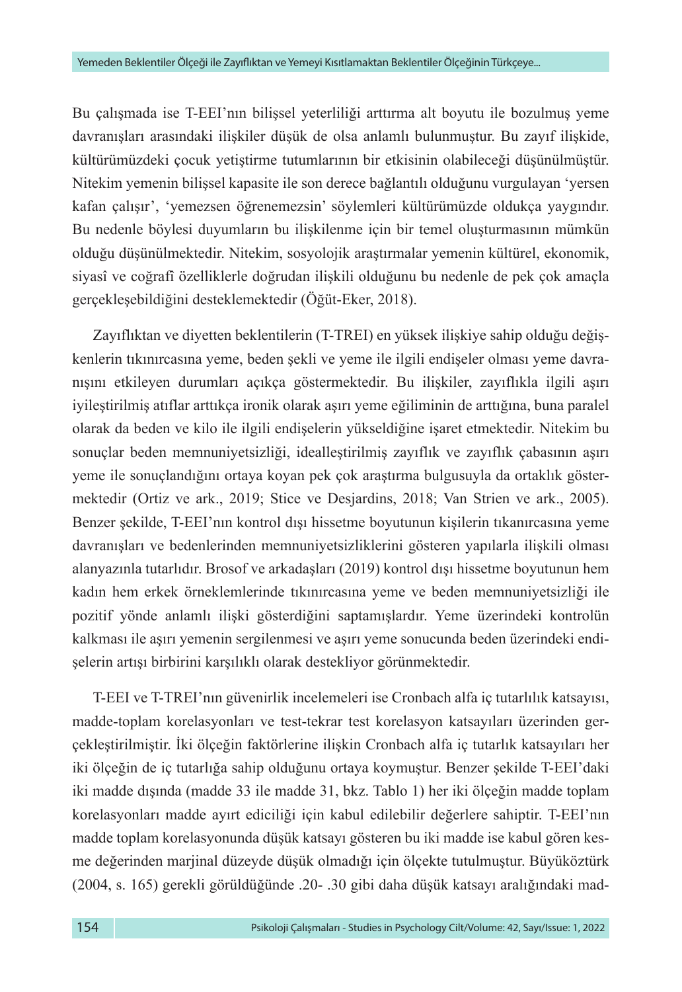Bu çalışmada ise T-EEI'nın bilişsel yeterliliği arttırma alt boyutu ile bozulmuş yeme davranışları arasındaki ilişkiler düşük de olsa anlamlı bulunmuştur. Bu zayıf ilişkide, kültürümüzdeki çocuk yetiştirme tutumlarının bir etkisinin olabileceği düşünülmüştür. Nitekim yemenin bilişsel kapasite ile son derece bağlantılı olduğunu vurgulayan 'yersen kafan çalışır', 'yemezsen öğrenemezsin' söylemleri kültürümüzde oldukça yaygındır. Bu nedenle böylesi duyumların bu ilişkilenme için bir temel oluşturmasının mümkün olduğu düşünülmektedir. Nitekim, sosyolojik araştırmalar yemenin kültürel, ekonomik, siyasî ve coğrafî özelliklerle doğrudan ilişkili olduğunu bu nedenle de pek çok amaçla gerçekleşebildiğini desteklemektedir (Öğüt-Eker, 2018).

Zayıflıktan ve diyetten beklentilerin (T-TREI) en yüksek ilişkiye sahip olduğu değişkenlerin tıkınırcasına yeme, beden şekli ve yeme ile ilgili endişeler olması yeme davranışını etkileyen durumları açıkça göstermektedir. Bu ilişkiler, zayıflıkla ilgili aşırı iyileştirilmiş atıflar arttıkça ironik olarak aşırı yeme eğiliminin de arttığına, buna paralel olarak da beden ve kilo ile ilgili endişelerin yükseldiğine işaret etmektedir. Nitekim bu sonuçlar beden memnuniyetsizliği, idealleştirilmiş zayıflık ve zayıflık çabasının aşırı yeme ile sonuçlandığını ortaya koyan pek çok araştırma bulgusuyla da ortaklık göstermektedir (Ortiz ve ark., 2019; Stice ve Desjardins, 2018; Van Strien ve ark., 2005). Benzer şekilde, T-EEI'nın kontrol dışı hissetme boyutunun kişilerin tıkanırcasına yeme davranışları ve bedenlerinden memnuniyetsizliklerini gösteren yapılarla ilişkili olması alanyazınla tutarlıdır. Brosof ve arkadaşları (2019) kontrol dışı hissetme boyutunun hem kadın hem erkek örneklemlerinde tıkınırcasına yeme ve beden memnuniyetsizliği ile pozitif yönde anlamlı ilişki gösterdiğini saptamışlardır. Yeme üzerindeki kontrolün kalkması ile aşırı yemenin sergilenmesi ve aşırı yeme sonucunda beden üzerindeki endişelerin artışı birbirini karşılıklı olarak destekliyor görünmektedir.

T-EEI ve T-TREI'nın güvenirlik incelemeleri ise Cronbach alfa iç tutarlılık katsayısı, madde-toplam korelasyonları ve test-tekrar test korelasyon katsayıları üzerinden gerçekleştirilmiştir. İki ölçeğin faktörlerine ilişkin Cronbach alfa iç tutarlık katsayıları her iki ölçeğin de iç tutarlığa sahip olduğunu ortaya koymuştur. Benzer şekilde T-EEI'daki iki madde dışında (madde 33 ile madde 31, bkz. Tablo 1) her iki ölçeğin madde toplam korelasyonları madde ayırt ediciliği için kabul edilebilir değerlere sahiptir. T-EEI'nın madde toplam korelasyonunda düşük katsayı gösteren bu iki madde ise kabul gören kesme değerinden marjinal düzeyde düşük olmadığı için ölçekte tutulmuştur. Büyüköztürk (2004, s. 165) gerekli görüldüğünde .20- .30 gibi daha düşük katsayı aralığındaki mad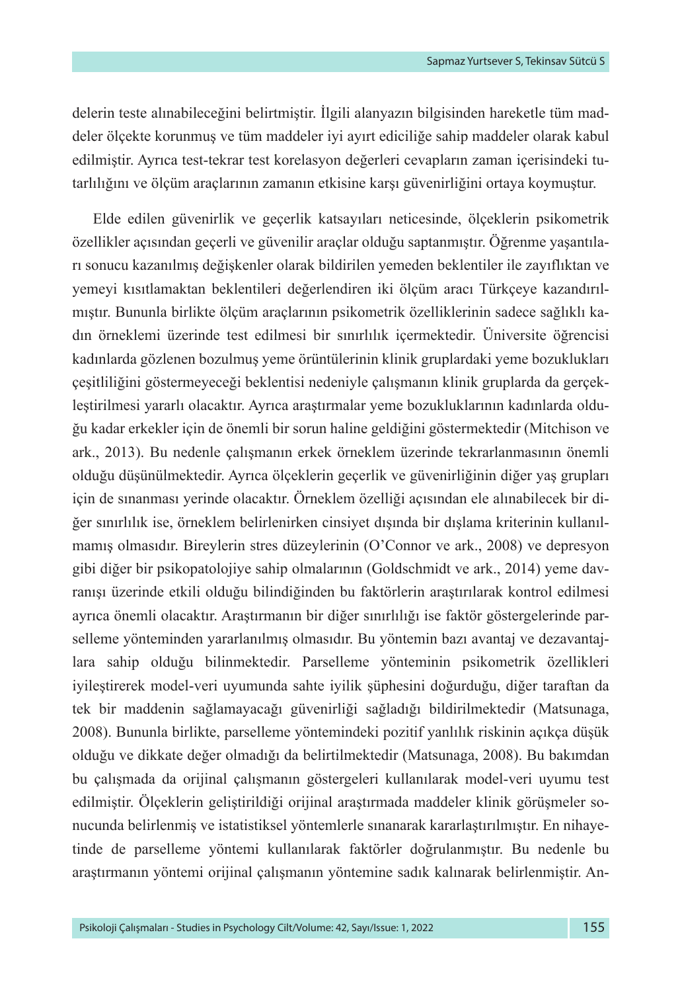delerin teste alınabileceğini belirtmiştir. İlgili alanyazın bilgisinden hareketle tüm maddeler ölçekte korunmuş ve tüm maddeler iyi ayırt ediciliğe sahip maddeler olarak kabul edilmiştir. Ayrıca test-tekrar test korelasyon değerleri cevapların zaman içerisindeki tutarlılığını ve ölçüm araçlarının zamanın etkisine karşı güvenirliğini ortaya koymuştur.

Elde edilen güvenirlik ve geçerlik katsayıları neticesinde, ölçeklerin psikometrik özellikler açısından geçerli ve güvenilir araçlar olduğu saptanmıştır. Öğrenme yaşantıları sonucu kazanılmış değişkenler olarak bildirilen yemeden beklentiler ile zayıflıktan ve yemeyi kısıtlamaktan beklentileri değerlendiren iki ölçüm aracı Türkçeye kazandırılmıştır. Bununla birlikte ölçüm araçlarının psikometrik özelliklerinin sadece sağlıklı kadın örneklemi üzerinde test edilmesi bir sınırlılık içermektedir. Üniversite öğrencisi kadınlarda gözlenen bozulmuş yeme örüntülerinin klinik gruplardaki yeme bozuklukları çeşitliliğini göstermeyeceği beklentisi nedeniyle çalışmanın klinik gruplarda da gerçekleştirilmesi yararlı olacaktır. Ayrıca araştırmalar yeme bozukluklarının kadınlarda olduğu kadar erkekler için de önemli bir sorun haline geldiğini göstermektedir (Mitchison ve ark., 2013). Bu nedenle çalışmanın erkek örneklem üzerinde tekrarlanmasının önemli olduğu düşünülmektedir. Ayrıca ölçeklerin geçerlik ve güvenirliğinin diğer yaş grupları için de sınanması yerinde olacaktır. Örneklem özelliği açısından ele alınabilecek bir diğer sınırlılık ise, örneklem belirlenirken cinsiyet dışında bir dışlama kriterinin kullanılmamış olmasıdır. Bireylerin stres düzeylerinin (O'Connor ve ark., 2008) ve depresyon gibi diğer bir psikopatolojiye sahip olmalarının (Goldschmidt ve ark., 2014) yeme davranışı üzerinde etkili olduğu bilindiğinden bu faktörlerin araştırılarak kontrol edilmesi ayrıca önemli olacaktır. Araştırmanın bir diğer sınırlılığı ise faktör göstergelerinde parselleme yönteminden yararlanılmış olmasıdır. Bu yöntemin bazı avantaj ve dezavantajlara sahip olduğu bilinmektedir. Parselleme yönteminin psikometrik özellikleri iyileştirerek model-veri uyumunda sahte iyilik şüphesini doğurduğu, diğer taraftan da tek bir maddenin sağlamayacağı güvenirliği sağladığı bildirilmektedir (Matsunaga, 2008). Bununla birlikte, parselleme yöntemindeki pozitif yanlılık riskinin açıkça düşük olduğu ve dikkate değer olmadığı da belirtilmektedir (Matsunaga, 2008). Bu bakımdan bu çalışmada da orijinal çalışmanın göstergeleri kullanılarak model-veri uyumu test edilmiştir. Ölçeklerin geliştirildiği orijinal araştırmada maddeler klinik görüşmeler sonucunda belirlenmiş ve istatistiksel yöntemlerle sınanarak kararlaştırılmıştır. En nihayetinde de parselleme yöntemi kullanılarak faktörler doğrulanmıştır. Bu nedenle bu araştırmanın yöntemi orijinal çalışmanın yöntemine sadık kalınarak belirlenmiştir. An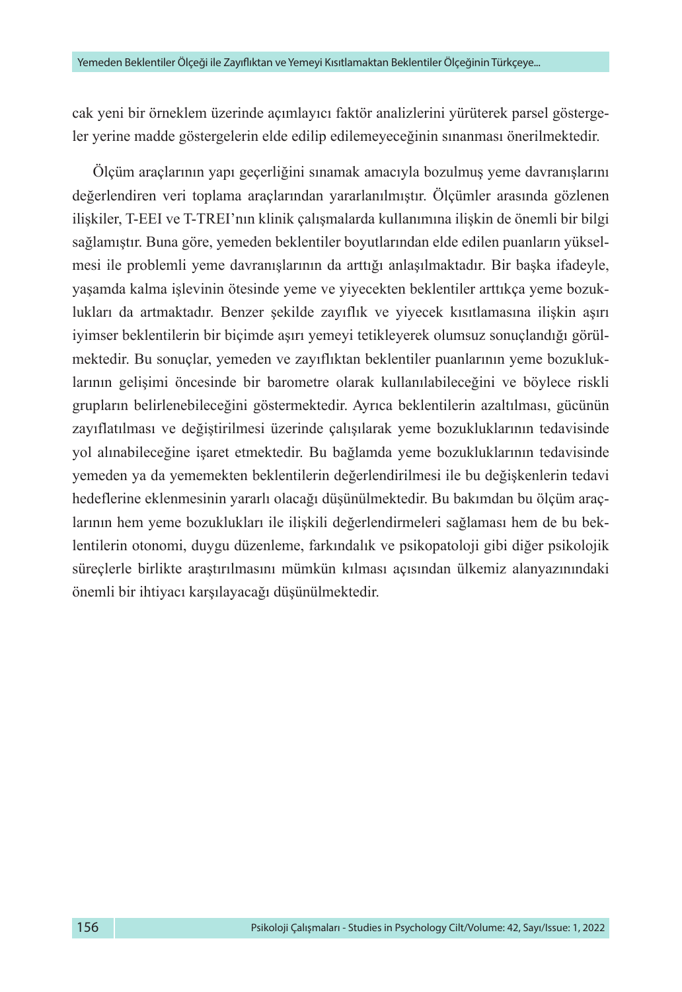cak yeni bir örneklem üzerinde açımlayıcı faktör analizlerini yürüterek parsel göstergeler yerine madde göstergelerin elde edilip edilemeyeceğinin sınanması önerilmektedir.

Ölçüm araçlarının yapı geçerliğini sınamak amacıyla bozulmuş yeme davranışlarını değerlendiren veri toplama araçlarından yararlanılmıştır. Ölçümler arasında gözlenen ilişkiler, T-EEI ve T-TREI'nın klinik çalışmalarda kullanımına ilişkin de önemli bir bilgi sağlamıştır. Buna göre, yemeden beklentiler boyutlarından elde edilen puanların yükselmesi ile problemli yeme davranışlarının da arttığı anlaşılmaktadır. Bir başka ifadeyle, yaşamda kalma işlevinin ötesinde yeme ve yiyecekten beklentiler arttıkça yeme bozuklukları da artmaktadır. Benzer şekilde zayıflık ve yiyecek kısıtlamasına ilişkin aşırı iyimser beklentilerin bir biçimde aşırı yemeyi tetikleyerek olumsuz sonuçlandığı görülmektedir. Bu sonuçlar, yemeden ve zayıflıktan beklentiler puanlarının yeme bozukluklarının gelişimi öncesinde bir barometre olarak kullanılabileceğini ve böylece riskli grupların belirlenebileceğini göstermektedir. Ayrıca beklentilerin azaltılması, gücünün zayıflatılması ve değiştirilmesi üzerinde çalışılarak yeme bozukluklarının tedavisinde yol alınabileceğine işaret etmektedir. Bu bağlamda yeme bozukluklarının tedavisinde yemeden ya da yememekten beklentilerin değerlendirilmesi ile bu değişkenlerin tedavi hedeflerine eklenmesinin yararlı olacağı düşünülmektedir. Bu bakımdan bu ölçüm araçlarının hem yeme bozuklukları ile ilişkili değerlendirmeleri sağlaması hem de bu beklentilerin otonomi, duygu düzenleme, farkındalık ve psikopatoloji gibi diğer psikolojik süreçlerle birlikte araştırılmasını mümkün kılması açısından ülkemiz alanyazınındaki önemli bir ihtiyacı karşılayacağı düşünülmektedir.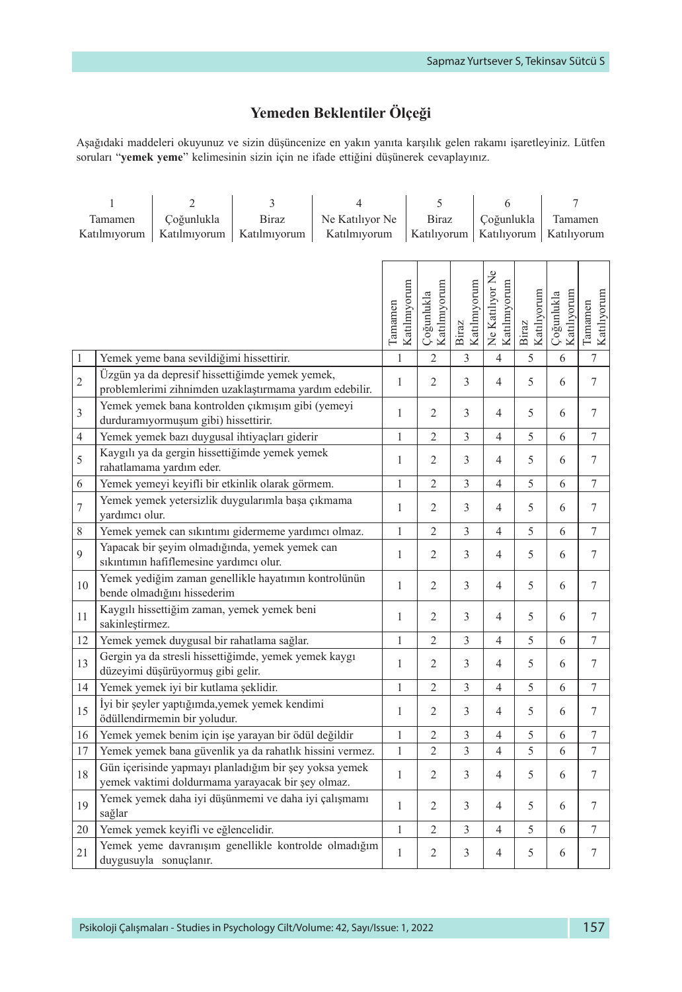## **Yemeden Beklentiler Ölçeği**

Aşağıdaki maddeleri okuyunuz ve sizin düşüncenize en yakın yanıta karşılık gelen rakamı işaretleyiniz. Lütfen soruları "**yemek yeme**" kelimesinin sizin için ne ifade ettiğini düşünerek cevaplayınız.

|                                                                          | 1               | 3<br>2<br>4                                                                                                 |                             |  |              |                           | 5                          |                        | 6                               |                          | 7                         |                  |
|--------------------------------------------------------------------------|-----------------|-------------------------------------------------------------------------------------------------------------|-----------------------------|--|--------------|---------------------------|----------------------------|------------------------|---------------------------------|--------------------------|---------------------------|------------------|
| Çoğunlukla<br><b>Biraz</b><br>Ne Katılıyor Ne<br>Tamamen<br>Katılmıyorum |                 |                                                                                                             | <b>Biraz</b><br>Katılıyorum |  |              | Coğunlukla<br>Katılıyorum |                            | Tamamen<br>Katılıyorum |                                 |                          |                           |                  |
| Katılmıyorum<br>Katılmıyorum<br>Katılmıyorum                             |                 |                                                                                                             |                             |  |              |                           |                            |                        |                                 |                          |                           |                  |
|                                                                          |                 |                                                                                                             |                             |  |              |                           |                            |                        |                                 |                          |                           |                  |
|                                                                          |                 |                                                                                                             |                             |  |              |                           |                            |                        | Ne Katılıyor Ne<br>Katılmıyorum |                          |                           |                  |
|                                                                          |                 |                                                                                                             |                             |  | Katılmıyorum |                           | Katılmıyorum<br>Çoğunlukla | Katılmyorum            |                                 | Biraz<br>Katılıyorum     | Katılıyorum<br>Çoğunlukla | Katılıyorum      |
|                                                                          |                 |                                                                                                             |                             |  | Tamamen      |                           |                            | Biraz                  |                                 |                          |                           | Tamamen          |
|                                                                          |                 |                                                                                                             |                             |  |              |                           |                            |                        |                                 |                          |                           |                  |
| $\mathbf{1}$                                                             |                 | Yemek yeme bana sevildiğimi hissettirir.                                                                    |                             |  | $\mathbf{1}$ |                           | $\overline{c}$             | 3                      | $\overline{4}$                  | 5                        | 6                         | 7                |
| $\sqrt{2}$                                                               |                 | Üzgün ya da depresif hissettiğimde yemek yemek,<br>problemlerimi zihnimden uzaklaştırmama yardım edebilir.  |                             |  | $\mathbf{1}$ |                           | $\overline{2}$             | 3                      | $\overline{4}$                  | 5                        | 6                         | 7                |
| $\ensuremath{\mathfrak{Z}}$                                              |                 | Yemek yemek bana kontrolden çıkmışım gibi (yemeyi                                                           |                             |  | $\mathbf{1}$ |                           | $\overline{2}$             | 3                      | $\overline{4}$                  | 5                        | 6                         | 7                |
|                                                                          |                 | durduramıyormuşum gibi) hissettirir.                                                                        |                             |  |              |                           |                            |                        |                                 |                          |                           |                  |
| $\overline{4}$                                                           |                 | Yemek yemek bazı duygusal ihtiyaçları giderir<br>Kaygılı ya da gergin hissettiğimde yemek yemek             |                             |  | $\mathbf{1}$ |                           | $\overline{c}$             | $\mathfrak{Z}$         | $\overline{4}$                  | 5                        | 6                         | $\boldsymbol{7}$ |
| 5                                                                        |                 | rahatlamama yardım eder.                                                                                    |                             |  | $\mathbf{1}$ |                           | $\overline{2}$             | 3                      | $\overline{4}$                  | 5                        | 6                         | 7                |
| $\sqrt{6}$                                                               |                 | Yemek yemeyi keyifli bir etkinlik olarak görmem.                                                            |                             |  | $\mathbf{1}$ |                           | $\overline{c}$             | 3                      | $\overline{4}$                  | 5                        | 6                         | $\tau$           |
| $\overline{7}$                                                           |                 | Yemek yemek yetersizlik duygularımla başa çıkmama                                                           |                             |  | $\mathbf{1}$ |                           | $\overline{2}$             | 3                      | $\overline{4}$                  | 5                        | 6                         | 7                |
| $\,$ $\,$                                                                | yardımcı olur.  | Yemek yemek can sıkıntımı gidermeme yardımcı olmaz.                                                         |                             |  | $\mathbf{1}$ |                           | $\overline{2}$             | $\mathfrak{Z}$         | $\overline{4}$                  | 5                        | 6                         | $\boldsymbol{7}$ |
|                                                                          |                 | Yapacak bir şeyim olmadığında, yemek yemek can                                                              |                             |  |              |                           |                            |                        |                                 |                          |                           |                  |
| 9                                                                        |                 | sıkıntımın hafiflemesine yardımcı olur.                                                                     |                             |  | $\mathbf{1}$ |                           | $\overline{2}$             | 3                      | $\overline{4}$                  | 5                        | 6                         | $\tau$           |
| 10                                                                       |                 | Yemek yediğim zaman genellikle hayatımın kontrolünün                                                        |                             |  | $\mathbf{1}$ |                           | $\overline{c}$             | 3                      | $\overline{4}$                  | 5                        | 6                         | 7                |
|                                                                          |                 | bende olmadığını hissederim<br>Kaygılı hissettiğim zaman, yemek yemek beni                                  |                             |  |              |                           |                            |                        |                                 |                          |                           |                  |
| 11                                                                       | sakinleştirmez. |                                                                                                             |                             |  | $\mathbf{1}$ |                           | $\overline{2}$             | 3                      | $\overline{4}$                  | 5                        | 6                         | 7                |
| 12                                                                       |                 | Yemek yemek duygusal bir rahatlama sağlar.                                                                  |                             |  | $\mathbf{1}$ |                           | $\overline{c}$             | 3                      | $\overline{4}$                  | 5                        | 6                         | 7                |
| 13                                                                       |                 | Gergin ya da stresli hissettiğimde, yemek yemek kaygı<br>düzeyimi düşürüyormuş gibi gelir.                  |                             |  | $\mathbf{1}$ |                           | $\overline{2}$             | 3                      | $\overline{4}$                  | 5                        | 6                         | 7                |
| 14                                                                       |                 | Yemek yemek iyi bir kutlama şeklidir.                                                                       |                             |  | $\mathbf{1}$ |                           | $\overline{2}$             | $\overline{3}$         | $\overline{4}$                  | 5                        | 6                         | 7                |
| 15                                                                       |                 | İyi bir şeyler yaptığımda, yemek yemek kendimi<br>ödüllendirmemin bir yoludur.                              |                             |  | $\mathbf{1}$ |                           | $\overline{2}$             | 3                      | $\overline{4}$                  | 5                        | 6                         | 7                |
| 16                                                                       |                 | Yemek yemek benim için işe yarayan bir ödül değildir                                                        |                             |  | $\mathbf 1$  |                           | 2                          | 3                      | $\overline{4}$                  | 5                        | 6                         | $\sqrt{ }$       |
| 17                                                                       |                 | Yemek yemek bana güvenlik ya da rahatlık hissini vermez.                                                    |                             |  | $\mathbf{1}$ |                           | $\overline{2}$             | 3                      | $\overline{4}$                  | 5                        | 6                         | 7                |
| 18                                                                       |                 | Gün içerisinde yapmayı planladığım bir sey yoksa yemek<br>yemek vaktimi doldurmama yarayacak bir şey olmaz. |                             |  | $\mathbf{1}$ |                           | $\overline{c}$             | 3                      | $\overline{4}$                  | 5                        | 6                         | 7                |
| 19                                                                       | sağlar          | Yemek yemek daha iyi düşünmemi ve daha iyi çalışmamı                                                        |                             |  | $\mathbf{1}$ |                           | $\overline{2}$             | 3                      | $\overline{4}$                  | $\overline{\phantom{0}}$ | 6                         | 7                |
| 20                                                                       |                 | Yemek yemek keyifli ve eğlencelidir.                                                                        |                             |  | $\mathbf{1}$ |                           | $\overline{c}$             | $\overline{3}$         | $\overline{4}$                  | 5                        | 6                         | $\sqrt{ }$       |
| 21                                                                       |                 | Yemek yeme davranışım genellikle kontrolde olmadığım<br>duygusuyla sonuçlanır.                              |                             |  | $\mathbf{1}$ |                           | 2                          | 3                      | $\overline{4}$                  | 5                        | 6                         | 7                |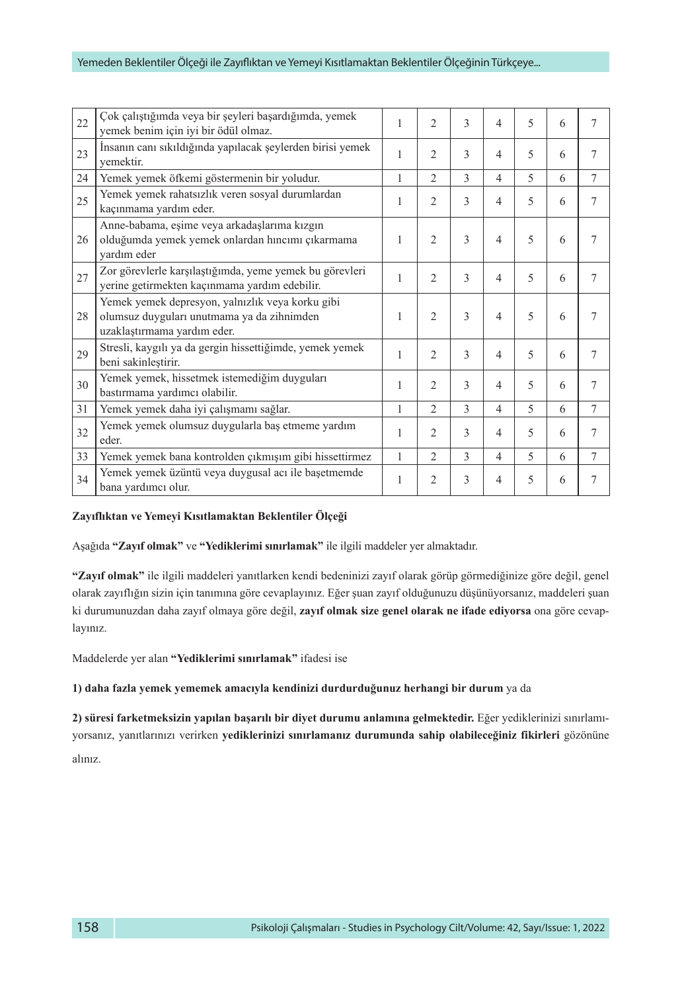#### Yemeden Beklentiler Ölçeği ile Zayıflıktan ve Yemeyi Kısıtlamaktan Beklentiler Ölçeğinin Türkçeye...

| 22 | Çok çalıştığımda veya bir şeyleri başardığımda, yemek<br>yemek benim için iyi bir ödül olmaz.                                 | 1 | $\overline{2}$ | 3             | $\overline{4}$ | 5           | 6 | 7              |
|----|-------------------------------------------------------------------------------------------------------------------------------|---|----------------|---------------|----------------|-------------|---|----------------|
| 23 | İnsanın canı sıkıldığında yapılacak şeylerden birisi yemek<br>vemektir.                                                       | 1 | $\overline{c}$ | 3             | $\overline{4}$ | 5           | 6 | 7              |
| 24 | Yemek yemek öfkemi göstermenin bir yoludur.                                                                                   | 1 | $\overline{c}$ | 3             | $\overline{4}$ | $\varsigma$ | 6 | 7              |
| 25 | Yemek yemek rahatsızlık veren sosyal durumlardan<br>kaçınmama yardım eder.                                                    | 1 | $\overline{c}$ | 3             | $\overline{4}$ | 5           | 6 | 7              |
| 26 | Anne-babama, eşime veya arkadaşlarıma kızgın<br>olduğumda yemek yemek onlardan hıncımı çıkarmama<br>vardım eder               | 1 | $\overline{2}$ | $\mathcal{E}$ | $\overline{4}$ | 5           | 6 | 7              |
| 27 | Zor görevlerle karşılaştığımda, yeme yemek bu görevleri<br>yerine getirmekten kaçınmama yardım edebilir.                      | 1 | $\overline{c}$ | 3             | 4              | 5           | 6 | 7              |
| 28 | Yemek yemek depresyon, yalnızlık veya korku gibi<br>olumsuz duyguları unutmama ya da zihnimden<br>uzaklaştırmama yardım eder. | 1 | $\overline{c}$ | 3             | $\overline{4}$ | 5           | 6 | 7              |
| 29 | Stresli, kaygılı ya da gergin hissettiğimde, yemek yemek<br>beni sakinleştirir.                                               | 1 | $\overline{c}$ | 3             | $\overline{4}$ | 5           | 6 | 7              |
| 30 | Yemek yemek, hissetmek istemediğim duyguları<br>bastırmama yardımcı olabilir.                                                 | 1 | $\overline{c}$ | 3             | $\overline{4}$ | 5           | 6 | $\overline{7}$ |
| 31 | Yemek yemek daha iyi çalışmamı sağlar.                                                                                        | 1 | $\overline{c}$ | 3             | $\overline{4}$ | 5           | 6 | 7              |
| 32 | Yemek yemek olumsuz duygularla baş etmeme yardım<br>eder.                                                                     | 1 | $\overline{c}$ | 3             | 4              | 5           | 6 | 7              |
| 33 | Yemek yemek bana kontrolden çıkmışım gibi hissettirmez                                                                        | 1 | $\overline{c}$ | 3             | $\overline{4}$ | 5           | 6 | 7              |
| 34 | Yemek yemek üzüntü veya duygusal acı ile başetmemde<br>bana yardımcı olur.                                                    | 1 | $\overline{c}$ | 3             | 4              | 5           | 6 | 7              |

#### **Zayıflıktan ve Yemeyi Kısıtlamaktan Beklentiler Ölçeği**

Aşağıda **"Zayıf olmak"** ve **"Yediklerimi sınırlamak"** ile ilgili maddeler yer almaktadır.

**"Zayıf olmak"** ile ilgili maddeleri yanıtlarken kendi bedeninizi zayıf olarak görüp görmediğinize göre değil, genel olarak zayıflığın sizin için tanımına göre cevaplayınız. Eğer şuan zayıf olduğunuzu düşünüyorsanız, maddeleri şuan ki durumunuzdan daha zayıf olmaya göre değil, **zayıf olmak size genel olarak ne ifade ediyorsa** ona göre cevaplayınız.

Maddelerde yer alan **"Yediklerimi sınırlamak"** ifadesi ise

**1) daha fazla yemek yememek amacıyla kendinizi durdurduğunuz herhangi bir durum** ya da

**2) süresi farketmeksizin yapılan başarılı bir diyet durumu anlamına gelmektedir.** Eğer yediklerinizi sınırlamıyorsanız, yanıtlarınızı verirken **yediklerinizi sınırlamanız durumunda sahip olabileceğiniz fikirleri** gözönüne alınız.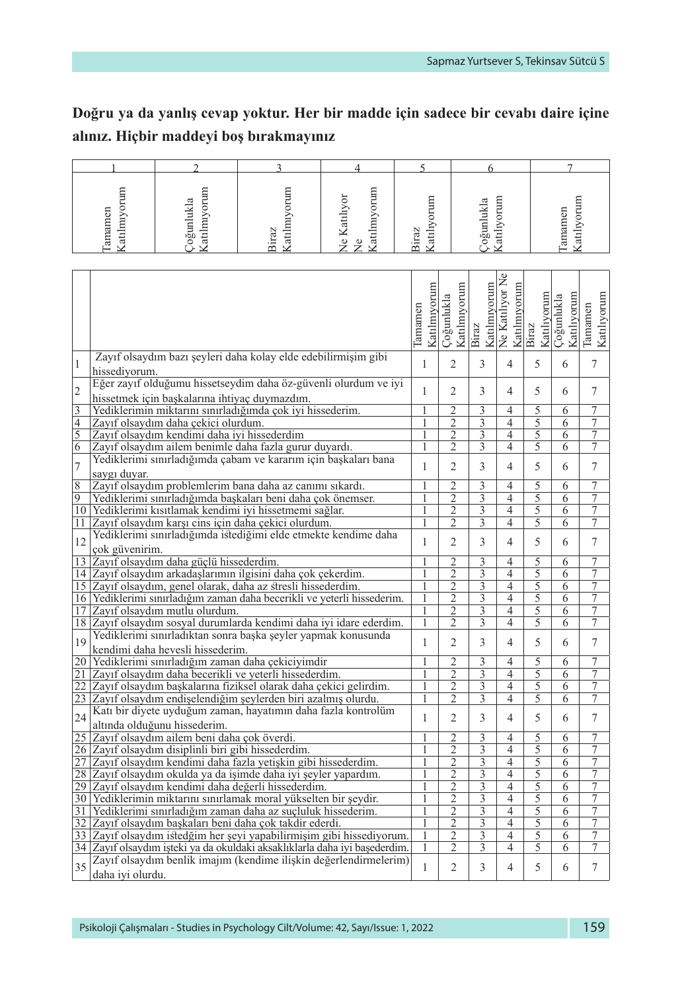## **Doğru ya da yanlış cevap yoktur. Her bir madde için sadece bir cevabı daire içine alınız. Hiçbir maddeyi boş bırakmayınız**

| ទ<br>Ξ<br>ದ<br>-<br>Ę | ukla<br>≿<br>Ë<br>료<br>⋍<br>–<br>$\bar{\mathcal{D}}$ | অ | ÷<br>▭<br>ದ<br>ω<br>≂ | ∼<br>ದ<br>ℼ<br>- | 吕<br>ß<br>급<br>æ<br>ದ | ភ<br>≍<br>ξ<br>∽<br>≊<br>atil |
|-----------------------|------------------------------------------------------|---|-----------------------|------------------|-----------------------|-------------------------------|

|                         |                                                                                                            | Katılmıyorum<br>Tamamen | Katılmıyorum<br>Çoğunlukla | Katılmıyorum<br>Biraz     | ž<br>Katılmıyorum<br>Ne Katılıyor | Katılıyorum<br>Biraz | Çoğunlukla<br>Katılıyorum | Katılıyorum<br>Tamamen |
|-------------------------|------------------------------------------------------------------------------------------------------------|-------------------------|----------------------------|---------------------------|-----------------------------------|----------------------|---------------------------|------------------------|
|                         |                                                                                                            |                         |                            |                           |                                   |                      |                           |                        |
| $\mathbf{1}$            | Zayıf olsaydım bazı şeyleri daha kolay elde edebilirmişim gibi                                             | $\mathbf{1}$            | $\overline{2}$             | 3                         | $\overline{4}$                    | 5                    | 6                         | $\overline{7}$         |
|                         | hissediyorum.<br>Eğer zayıf olduğumu hissetseydim daha öz-güvenli olurdum ve iyi                           |                         |                            |                           |                                   |                      |                           |                        |
| $\overline{c}$          |                                                                                                            | $\mathbf{1}$            | $\overline{2}$             | 3                         | 4                                 | 5                    | 6                         | 7                      |
| $\overline{\mathbf{3}}$ | hissetmek için başkalarına ihtiyaç duymazdım.<br>Yediklerimin miktarını sınırladığımda çok iyi hissederim. | 1                       | $\overline{2}$             | 3                         | 4                                 | 5                    | 6                         | $\overline{7}$         |
| $\overline{4}$          | Zayıf olsaydım daha çekici olurdum.                                                                        | 1                       | $\overline{2}$             | $\overline{\overline{3}}$ | 4                                 | $\overline{5}$       | 6                         | 7                      |
| $\overline{5}$          | Zayıf olsaydım kendimi daha iyi hissederdim                                                                | 1                       | $\overline{2}$             | $\overline{\overline{3}}$ | $\overline{4}$                    | $\overline{5}$       | 6                         | 7                      |
| $\overline{6}$          | Zayıf olsaydım ailem benimle daha fazla gurur duyardı.                                                     | 1                       | $\overline{c}$             | 3                         | 4                                 | 5                    | 6                         | 7                      |
|                         | Yediklerimi sınırladığımda çabam ve kararım için başkaları bana                                            |                         |                            |                           |                                   |                      |                           |                        |
| 7                       | saygı duyar.                                                                                               | $\mathbf{1}$            | $\overline{c}$             | 3                         | 4                                 | 5                    | 6                         | 7                      |
| $\overline{8}$          | Zayıf olsaydım problemlerim bana daha az canımı sıkardı.                                                   | 1                       | $\overline{2}$             | 3                         | 4                                 | 5                    | 6                         | 7                      |
| $\overline{9}$          | Yediklerimi sınırladığımda başkaları beni daha çok önemser.                                                | 1                       | $\overline{c}$             | 3                         | 4                                 | 5                    | 6                         | 7                      |
| 10                      | Yediklerimi kısıtlamak kendimi iyi hissetmemi sağlar.                                                      | $\mathbf{1}$            | $\overline{2}$             | 3                         | $\overline{4}$                    | 5                    | 6                         | 7                      |
| 11                      | Zayıf olsaydım karşı cins için daha çekici olurdum.                                                        | 1                       | $\overline{2}$             | 3                         | 4                                 | 5                    | 6                         | $\overline{7}$         |
|                         | Yediklerimi sınırladığımda istediğimi elde etmekte kendime daha                                            |                         |                            |                           |                                   |                      |                           |                        |
| 12                      | çok güvenirim.                                                                                             | $\mathbf{1}$            | $\overline{c}$             | 3                         | $\overline{4}$                    | 5                    | 6                         | 7                      |
| 13                      | Zayıf olsaydım daha güçlü hissederdim.                                                                     | 1                       | $\overline{c}$             | 3                         | 4                                 | 5                    | 6                         | $\overline{7}$         |
|                         | 14 Zayıf olsaydım arkadaşlarımın ilgisini daha çok çekerdim.                                               | 1                       | $\overline{2}$             | $\overline{3}$            | $\overline{4}$                    | $\overline{5}$       | 6                         | 7                      |
|                         | 15 Zayıf olsaydım, genel olarak, daha az stresli hissederdim.                                              | 1                       | $\overline{2}$             | $\overline{3}$            | $\overline{4}$                    | 5                    | 6                         | 7                      |
|                         | 16 Yediklerimi sınırladığım zaman daha becerikli ve yeterli hissederim.                                    | 1                       | $\overline{c}$             | 3                         | $\overline{4}$                    | 5                    | 6                         | 7                      |
| 17                      | Zayıf olsaydım mutlu olurdum.                                                                              | 1                       | $\overline{2}$             | $\overline{3}$            | $\overline{4}$                    | 5                    | 6                         | $\overline{7}$         |
|                         | 18 Zayıf olsaydım sosyal durumlarda kendimi daha iyi idare ederdim.                                        | 1                       | $\overline{2}$             | 3                         | $\overline{4}$                    | 5                    | 6                         | $\overline{7}$         |
| 19                      | Yediklerimi sınırladıktan sonra başka şeyler yapmak konusunda                                              | 1                       | $\overline{2}$             | 3                         | $\overline{\mathcal{A}}$          | 5                    | 6                         | 7                      |
|                         | kendimi daha hevesli hissederim.                                                                           |                         |                            |                           |                                   |                      |                           |                        |
| 20                      | Yediklerimi sınırladığım zaman daha çekiciyimdir                                                           | 1                       | 2                          | 3                         | 4                                 | 5                    | 6                         | 7                      |
| 21                      | Zayıf olsaydım daha becerikli ve yeterli hissederdim.                                                      | 1                       | $\overline{2}$             | $\overline{3}$            | $\overline{4}$                    | $\overline{5}$       | 6                         | $\overline{7}$         |
| 22                      | Zayıf olsaydım başkalarına fiziksel olarak daha çekici gelirdim.                                           | 1                       | $\overline{c}$             | 3                         | 4                                 | 5                    | 6                         | 7                      |
|                         | 23 Zayıf olsaydım endişelendiğim şeylerden biri azalmış olurdu.                                            | 1                       | $\overline{2}$             | $\overline{\mathbf{3}}$   | 4                                 | 5                    | 6                         | 7                      |
| 24                      | Katı bir diyete uyduğum zaman, hayatımın daha fazla kontrolüm<br>altında olduğunu hissederim.              | 1                       | $\overline{2}$             | 3                         | $\overline{4}$                    | 5                    | 6                         | 7                      |
|                         | 25 Zayıf olsaydım ailem beni daha çok överdi.                                                              |                         | $\overline{c}$             | 3                         | 4                                 | 5                    | 6                         | 7                      |
|                         | 26 Zayıf olsaydım disiplinli biri gibi hissederdim.                                                        |                         | $\overline{c}$             | 3                         | $\overline{4}$                    | 5                    | 6                         | 7                      |
| 27                      | Zayıf olsaydım kendimi daha fazla yetiskin gibi hissederdim.                                               | 1                       | $\overline{c}$             | 3                         | $\overline{4}$                    | 5                    | 6                         | $\overline{7}$         |
|                         | 28 Zayıf olsaydım okulda ya da işimde daha iyi şeyler yapardım.                                            | 1                       | $\overline{2}$             | 3                         | $\overline{4}$                    | 5                    | 6                         | $\overline{7}$         |
|                         | 29 Zayıf olsaydım kendimi daha değerli hissederdim.                                                        | 1                       | 2                          | 3                         | $\overline{4}$                    | 5                    | 6                         | 7                      |
|                         | 30 Yediklerimin miktarını sınırlamak moral yükselten bir seydir.                                           | 1                       | $\overline{2}$             | $\overline{3}$            | $\overline{4}$                    | $\overline{5}$       | 6                         | $\overline{7}$         |
| 31                      | Yediklerimi sınırladığım zaman daha az suçluluk hissederim.                                                | 1                       | $\overline{2}$             | $\overline{3}$            | $\overline{4}$                    | $\overline{5}$       | 6                         | 7                      |
|                         | 32 Zayıf olsaydım başkaları beni daha çok takdir ederdi.                                                   | 1                       | $\overline{2}$             | $\overline{\mathbf{3}}$   | $\overline{4}$                    | 5                    | 6                         | $\overline{7}$         |
|                         | 33 Zayıf olsaydım istedğim her şeyi yapabilirmişim gibi hissediyorum.                                      | 1                       | $\overline{c}$             | $\overline{\mathbf{3}}$   | $\overline{4}$                    | 5                    | 6                         | $\overline{7}$         |
|                         | 34 Zayıf olsaydım işteki ya da okuldaki aksaklıklarla daha iyi başederdim.                                 | 1                       | $\overline{2}$             | $\overline{3}$            | $\overline{4}$                    | 5                    | 6                         | 7                      |
| 35                      | Zayıf olsaydım benlik imajım (kendime ilişkin değerlendirmelerim)                                          | 1                       | $\overline{c}$             | 3                         | $\overline{4}$                    | 5                    | 6                         | 7                      |
|                         | daha ivi olurdu.                                                                                           |                         |                            |                           |                                   |                      |                           |                        |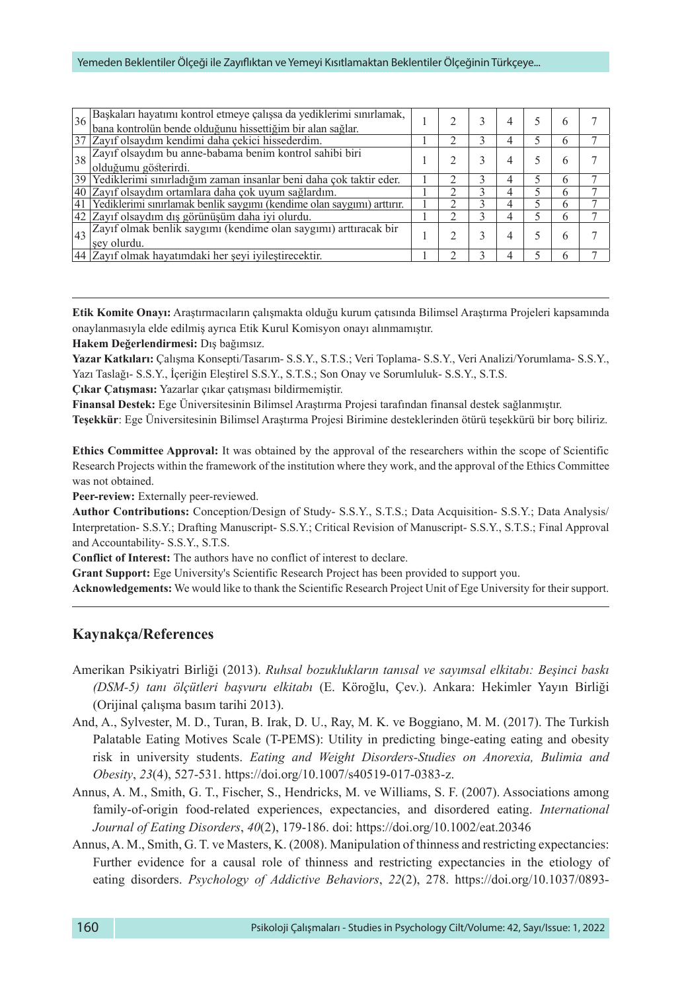#### Yemeden Beklentiler Ölçeği ile Zayıflıktan ve Yemeyi Kısıtlamaktan Beklentiler Ölçeğinin Türkçeye...

| 36 | Başkaları hayatımı kontrol etmeye çalışsa da yediklerimi sınırlamak, bana kontrolün bende olduğunu hissettiğim bir alan sağlar. |  |  | h        |  |
|----|---------------------------------------------------------------------------------------------------------------------------------|--|--|----------|--|
|    |                                                                                                                                 |  |  |          |  |
|    | 37 Zayıf olsaydım kendimi daha çekici hissederdim.                                                                              |  |  | h        |  |
| 38 | Zayıf olsaydım bu anne-babama benim kontrol sahibi biri                                                                         |  |  | h        |  |
|    | olduğumu gösterirdi.                                                                                                            |  |  |          |  |
|    | 39 Yediklerimi sınırladığım zaman insanlar beni daha çok taktir eder.                                                           |  |  | $\theta$ |  |
| 40 | Zayıf olsaydım ortamlara daha çok uyum sağlardım.                                                                               |  |  | h        |  |
| 41 | Yediklerimi sınırlamak benlik saygımı (kendime olan saygımı) arttırır.                                                          |  |  | h        |  |
|    | 42 Zayıf olsaydım dış görünüşüm daha iyi olurdu.                                                                                |  |  | h        |  |
| 43 | Zayıf olmak benlik saygımı (kendime olan saygımı) arttıracak bir                                                                |  |  |          |  |
|    | sev olurdu.                                                                                                                     |  |  | h        |  |
|    | 44 Zayıf olmak hayatımdaki her şeyi iyileştirecektir.                                                                           |  |  |          |  |

**Etik Komite Onayı:** Araştırmacıların çalışmakta olduğu kurum çatısında Bilimsel Araştırma Projeleri kapsamında onaylanmasıyla elde edilmiş ayrıca Etik Kurul Komisyon onayı alınmamıştır.

**Hakem Değerlendirmesi:** Dış bağımsız.

**Yazar Katkıları:** Çalışma Konsepti/Tasarım- S.S.Y., S.T.S.; Veri Toplama- S.S.Y., Veri Analizi/Yorumlama- S.S.Y., Yazı Taslağı- S.S.Y., İçeriğin Eleştirel S.S.Y., S.T.S.; Son Onay ve Sorumluluk- S.S.Y., S.T.S.

**Çıkar Çatışması:** Yazarlar çıkar çatışması bildirmemiştir.

**Finansal Destek:** Ege Üniversitesinin Bilimsel Araştırma Projesi tarafından finansal destek sağlanmıştır.

**Teşekkür**: Ege Üniversitesinin Bilimsel Araştırma Projesi Birimine desteklerinden ötürü teşekkürü bir borç biliriz.

**Ethics Committee Approval:** It was obtained by the approval of the researchers within the scope of Scientific Research Projects within the framework of the institution where they work, and the approval of the Ethics Committee was not obtained.

**Peer-review:** Externally peer-reviewed.

**Author Contributions:** Conception/Design of Study- S.S.Y., S.T.S.; Data Acquisition- S.S.Y.; Data Analysis/ Interpretation- S.S.Y.; Drafting Manuscript- S.S.Y.; Critical Revision of Manuscript- S.S.Y., S.T.S.; Final Approval and Accountability- S.S.Y., S.T.S.

**Conflict of Interest:** The authors have no conflict of interest to declare.

**Grant Support:** Ege University's Scientific Research Project has been provided to support you.

**Acknowledgements:** We would like to thank the Scientific Research Project Unit of Ege University for their support.

### **Kaynakça/References**

- Amerikan Psikiyatri Birliği (2013). *Ruhsal bozuklukların tanısal ve sayımsal elkitabı: Beşinci baskı (DSM-5) tanı ölçütleri başvuru elkitabı* (E. Köroğlu, Çev.). Ankara: Hekimler Yayın Birliği (Orijinal çalışma basım tarihi 2013).
- And, A., Sylvester, M. D., Turan, B. Irak, D. U., Ray, M. K. ve Boggiano, M. M. (2017). The Turkish Palatable Eating Motives Scale (T-PEMS): Utility in predicting binge-eating eating and obesity risk in university students. *Eating and Weight Disorders-Studies on Anorexia, Bulimia and Obesity*, *23*(4), 527-531. [https://doi.org/10.1007/s40519-017-0383-z.](https://doi.org/10.1007/s40519-017-0383-z)
- Annus, A. M., Smith, G. T., Fischer, S., Hendricks, M. ve Williams, S. F. (2007). Associations among family-of-origin food-related experiences, expectancies, and disordered eating. *International Journal of Eating Disorders*, *40*(2), 179-186.<doi:> [https://doi.org/10.1002/eat.20346](https://psycnet.apa.org/doi/10.1002/eat.20346)
- Annus, A. M., Smith, G. T. ve Masters, K. (2008). Manipulation of thinness and restricting expectancies: Further evidence for a causal role of thinness and restricting expectancies in the etiology of eating disorders. *Psychology of Addictive Behaviors*, *22*(2), 278. [https://doi.org/10.1037/0893-](https://psycnet.apa.org/doi/10.1037/0893-164X.22.2.278)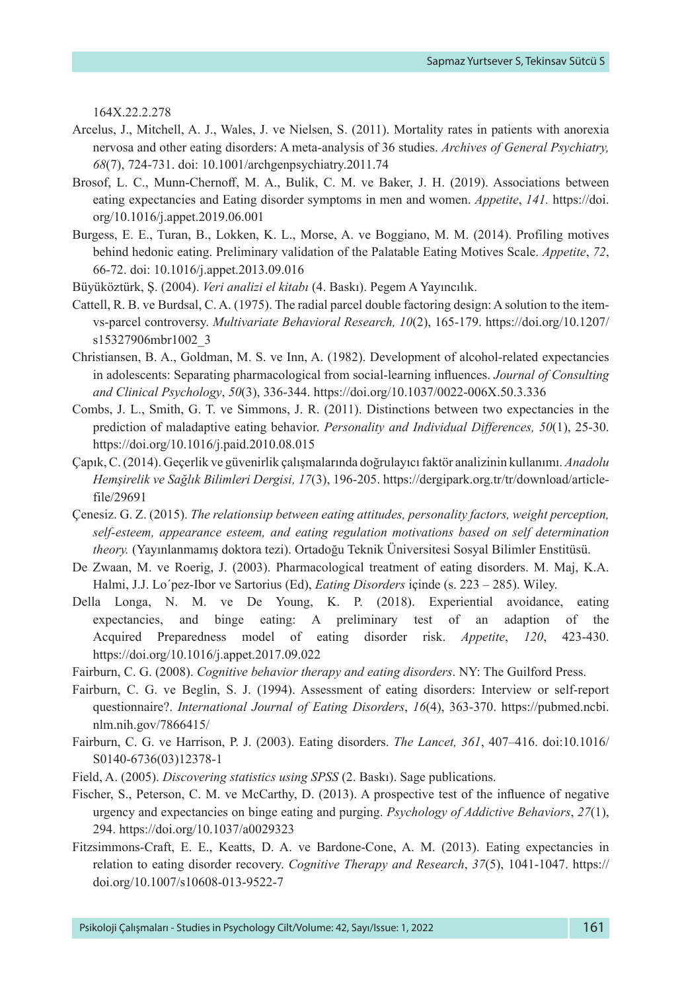[164X.22.2.278](https://psycnet.apa.org/doi/10.1037/0893-164X.22.2.278)

- Arcelus, J., Mitchell, A. J., Wales, J. ve Nielsen, S. (2011). Mortality rates in patients with anorexia nervosa and other eating disorders: A meta-analysis of 36 studies. *Archives of General Psychiatry, 68*(7), 724-731. doi: [10.1001/archgenpsychiatry.2011.74](https://doi.org/10.1001/archgenpsychiatry.2011.74)
- Brosof, L. C., Munn-Chernoff, M. A., Bulik, C. M. ve Baker, J. H. (2019). Associations between eating expectancies and Eating disorder symptoms in men and women. *Appetite*, *141.* [https://doi.](https://doi.org/10.1016/j.appet.2019.06.001) [org/10.1016/j.appet.2019.06.001](https://doi.org/10.1016/j.appet.2019.06.001)
- Burgess, E. E., Turan, B., Lokken, K. L., Morse, A. ve Boggiano, M. M. (2014). Profiling motives behind hedonic eating. Preliminary validation of the Palatable Eating Motives Scale. *Appetite*, *72*, 66-72. doi: [10.1016/j.appet.2013.09.016](https://doi.org/10.1016/j.appet.2013.09.016)
- Büyüköztürk, Ş. (2004). *Veri analizi el kitabı* (4. Baskı). Pegem A Yayıncılık.
- Cattell, R. B. ve Burdsal, C. A. (1975). The radial parcel double factoring design: A solution to the itemvs-parcel controversy. *Multivariate Behavioral Research, 10*(2), 165-179. [https://doi.org/10.1207/](https://psycnet.apa.org/doi/10.1207/s15327906mbr1002_3) [s15327906mbr1002\\_3](https://psycnet.apa.org/doi/10.1207/s15327906mbr1002_3)
- Christiansen, B. A., Goldman, M. S. ve Inn, A. (1982). Development of alcohol-related expectancies in adolescents: Separating pharmacological from social-learning influences. *Journal of Consulting and Clinical Psychology*, *50*(3), 336-344. [https://doi.org/10.1037/0022-006X.50.3.336](https://psycnet.apa.org/doi/10.1037/0022-006X.50.3.336)
- Combs, J. L., Smith, G. T. ve Simmons, J. R. (2011). Distinctions between two expectancies in the prediction of maladaptive eating behavior. *Personality and Individual Differences, 50*(1), 25-30. <https://doi.org/10.1016/j.paid.2010.08.015>
- Çapık, C. (2014). Geçerlik ve güvenirlik çalışmalarında doğrulayıcı faktör analizinin kullanımı. *Anadolu Hemşirelik ve Sağlık Bilimleri Dergisi, 17*(3), 196-205. [https://dergipark.org.tr/tr/download/article](https://dergipark.org.tr/tr/download/article-file/29691)[file/29691](https://dergipark.org.tr/tr/download/article-file/29691)
- Çenesiz. G. Z. (2015). *The relationsiıp between eating attitudes, personality factors, weight perception, self-esteem, appearance esteem, and eating regulation motivations based on self determination theory.* (Yayınlanmamış doktora tezi). Ortadoğu Teknik Üniversitesi Sosyal Bilimler Enstitüsü.
- De Zwaan, M. ve Roerig, J. (2003). Pharmacological treatment of eating disorders. M. Maj, K.A. Halmi, J.J. Lo´pez-Ibor ve Sartorius (Ed), *Eating Disorders* içinde (s. 223 – 285). Wiley.
- Della Longa, N. M. ve De Young, K. P. (2018). Experiential avoidance, eating expectancies, and binge eating: A preliminary test of an adaption of the Acquired Preparedness model of eating disorder risk. *Appetite*, *120*, 423-430. <https://doi.org/10.1016/j.appet.2017.09.022>
- Fairburn, C. G. (2008). *Cognitive behavior therapy and eating disorders*. NY: The Guilford Press.
- Fairburn, C. G. ve Beglin, S. J. (1994). Assessment of eating disorders: Interview or self-report questionnaire?. *International Journal of Eating Disorders*, *16*(4), 363-370. [https://pubmed.ncbi.](https://pubmed.ncbi.nlm.nih.gov/7866415/) [nlm.nih.gov/7866415/](https://pubmed.ncbi.nlm.nih.gov/7866415/)
- Fairburn, C. G. ve Harrison, P. J. (2003). Eating disorders. *The Lancet, 361*, 407–416. doi:10.1016/ S0140-6736(03)12378-1
- Field, A. (2005). *Discovering statistics using SPSS* (2. Baskı). Sage publications.
- Fischer, S., Peterson, C. M. ve McCarthy, D. (2013). A prospective test of the influence of negative urgency and expectancies on binge eating and purging. *Psychology of Addictive Behaviors*, *27*(1), 294. [https://doi.org/10.1037/a0029323](https://psycnet.apa.org/doi/10.1037/a0029323)
- Fitzsimmons-Craft, E. E., Keatts, D. A. ve Bardone-Cone, A. M. (2013). Eating expectancies in relation to eating disorder recovery. *Cognitive Therapy and Research*, *37*(5), 1041-1047. [https://](https://psycnet.apa.org/doi/10.1007/s10608-013-9522-7) [doi.org/10.1007/s10608-013-9522-7](https://psycnet.apa.org/doi/10.1007/s10608-013-9522-7)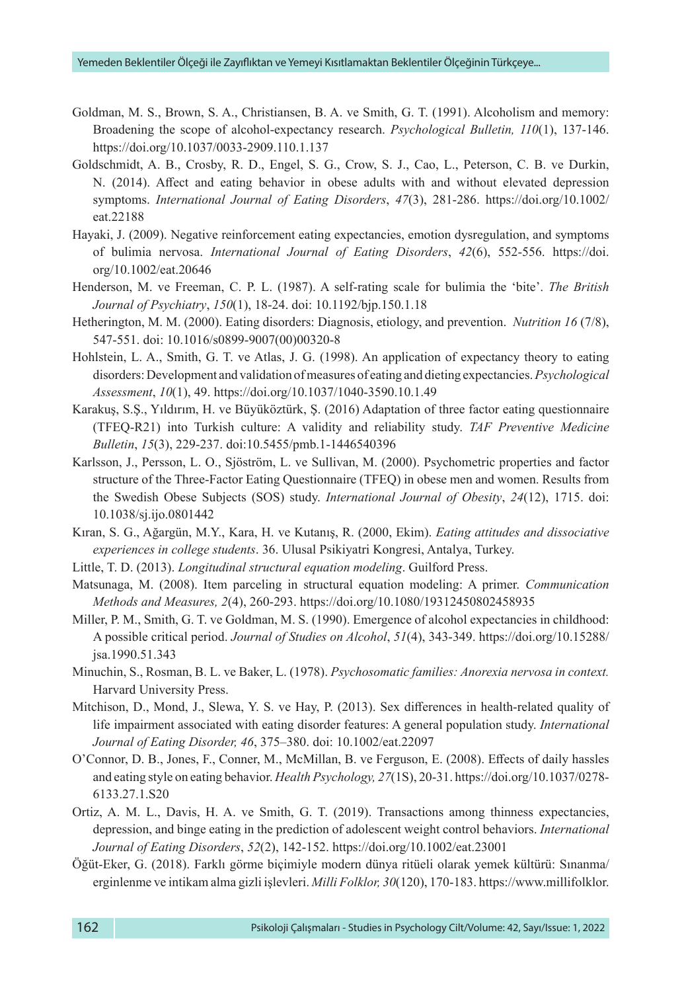- Goldman, M. S., Brown, S. A., Christiansen, B. A. ve Smith, G. T. (1991). Alcoholism and memory: Broadening the scope of alcohol-expectancy research. *Psychological Bulletin, 110*(1), 137-146. [https://doi.org/10.1037/0033-2909.110.1.137](https://psycnet.apa.org/doi/10.1037/0033-2909.110.1.137)
- Goldschmidt, A. B., Crosby, R. D., Engel, S. G., Crow, S. J., Cao, L., Peterson, C. B. ve Durkin, N. (2014). Affect and eating behavior in obese adults with and without elevated depression symptoms. *International Journal of Eating Disorders*, *47*(3), 281-286. [https://doi.org/10.1002/](https://doi.org/10.1002/eat.22188) [eat.22188](https://doi.org/10.1002/eat.22188)
- Hayaki, J. (2009). Negative reinforcement eating expectancies, emotion dysregulation, and symptoms of bulimia nervosa. *International Journal of Eating Disorders*, *42*(6), 552-556. [https://doi.](https://doi.org/10.1002/eat.20646) [org/10.1002/eat.20646](https://doi.org/10.1002/eat.20646)
- Henderson, M. ve Freeman, C. P. L. (1987). A self-rating scale for bulimia the 'bite'. *The British Journal of Psychiatry*, *150*(1), 18-24. doi: [10.1192/bjp.150.1.18](https://doi.org/10.1192/bjp.150.1.18)
- Hetherington, M. M. (2000). Eating disorders: Diagnosis, etiology, and prevention. *Nutrition 16* (7/8), 547-551. doi: 10.1016/s0899-9007(00)00320-8
- Hohlstein, L. A., Smith, G. T. ve Atlas, J. G. (1998). An application of expectancy theory to eating disorders: Development and validation of measures of eating and dieting expectancies.*Psychological Assessment*, *10*(1), 49. [https://doi.org/10.1037/1040-3590.10.1.49](https://psycnet.apa.org/doi/10.1037/1040-3590.10.1.49)
- Karakuş, S.Ş., Yıldırım, H. ve Büyüköztürk, Ş. (2016) Adaptation of three factor eating questionnaire (TFEQ-R21) into Turkish culture: A validity and reliability study. *TAF Preventive Medicine Bulletin*, *15*(3), 229-237. doi[:10.5455/pmb.1-1446540396](http://dx.doi.org/10.5455/pmb.1-1446540396)
- Karlsson, J., Persson, L. O., Sjöström, L. ve Sullivan, M. (2000). Psychometric properties and factor structure of the Three-Factor Eating Questionnaire (TFEQ) in obese men and women. Results from the Swedish Obese Subjects (SOS) study. *International Journal of Obesity*, *24*(12), 1715. doi: 10.1038/sj.ijo.0801442
- Kıran, S. G., Ağargün, M.Y., Kara, H. ve Kutanış, R. (2000, Ekim). *Eating attitudes and dissociative experiences in college students*. 36. Ulusal Psikiyatri Kongresi, Antalya, Turkey.
- Little, T. D. (2013). *Longitudinal structural equation modeling*. Guilford Press.
- Matsunaga, M. (2008). Item parceling in structural equation modeling: A primer. *Communication Methods and Measures, 2*(4), 260-293. <https://doi.org/10.1080/19312450802458935>
- Miller, P. M., Smith, G. T. ve Goldman, M. S. (1990). Emergence of alcohol expectancies in childhood: A possible critical period. *Journal of Studies on Alcohol*, *51*(4), 343-349. [https://doi.org/10.15288/](https://psycnet.apa.org/doi/10.15288/jsa.1990.51.343) [jsa.1990.51.343](https://psycnet.apa.org/doi/10.15288/jsa.1990.51.343)
- Minuchin, S., Rosman, B. L. ve Baker, L. (1978). *Psychosomatic families: Anorexia nervosa in context.* Harvard University Press.
- Mitchison, D., Mond, J., Slewa, Y. S. ve Hay, P. (2013). Sex differences in health-related quality of life impairment associated with eating disorder features: A general population study. *International Journal of Eating Disorder, 46*, 375–380. doi: 10.1002/eat.22097
- O'Connor, D. B., Jones, F., Conner, M., McMillan, B. ve Ferguson, E. (2008). Effects of daily hassles and eating style on eating behavior. *Health Psychology, 27*(1S), 20-31. [https://doi.org/10.1037/0278-](https://psycnet.apa.org/doi/10.1037/0278-6133.27.1.S20) [6133.27.1.S20](https://psycnet.apa.org/doi/10.1037/0278-6133.27.1.S20)
- Ortiz, A. M. L., Davis, H. A. ve Smith, G. T. (2019). Transactions among thinness expectancies, depression, and binge eating in the prediction of adolescent weight control behaviors. *International Journal of Eating Disorders*, *52*(2), 142-152.<https://doi.org/10.1002/eat.23001>
- Öğüt-Eker, G. (2018). Farklı görme biçimiyle modern dünya ritüeli olarak yemek kültürü: Sınanma/ erginlenme ve intikam alma gizli işlevleri. *Milli Folklor, 30*(120), 170-183. [https://www.millifolklor.](https://www.millifolklor.com/PdfViewer.aspx?Sayi=120 &Sayfa=170)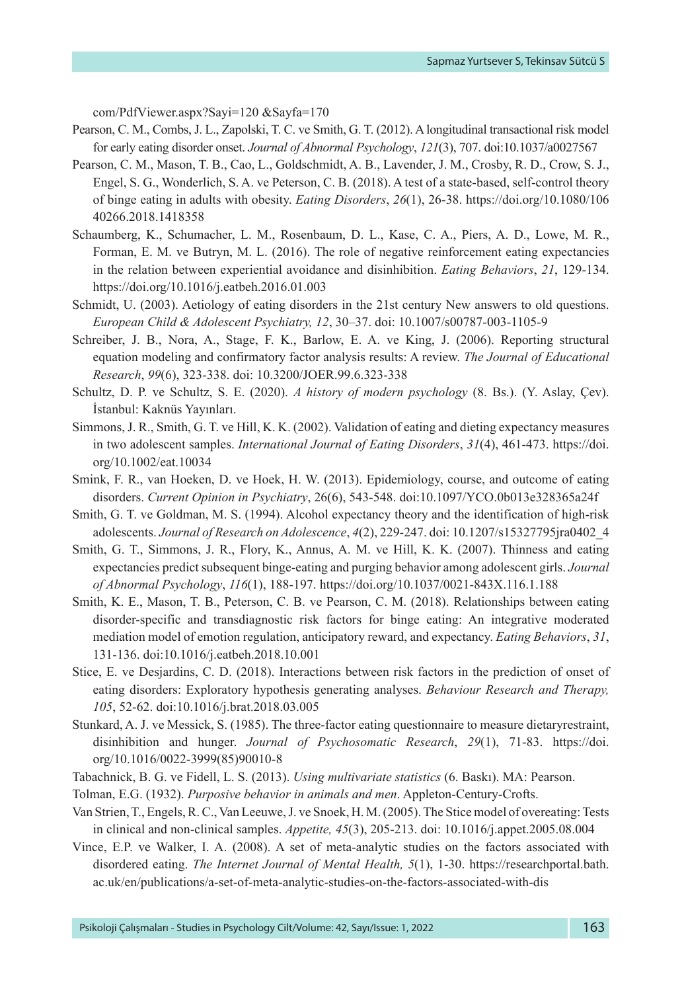[com/PdfViewer.aspx?Sayi=120 &Sayfa=170](https://www.millifolklor.com/PdfViewer.aspx?Sayi=120 &Sayfa=170)

- Pearson, C. M., Combs, J. L., Zapolski, T. C. ve Smith, G. T. (2012). A longitudinal transactional risk model for early eating disorder onset. *Journal of Abnormal Psychology*, *121*(3), 707. doi:10.1037/a0027567
- Pearson, C. M., Mason, T. B., Cao, L., Goldschmidt, A. B., Lavender, J. M., Crosby, R. D., Crow, S. J., Engel, S. G., Wonderlich, S. A. ve Peterson, C. B. (2018). A test of a state-based, self-control theory of binge eating in adults with obesity. *Eating Disorders*, *26*(1), 26-38. [https://doi.org/10.1080/106](https://psycnet.apa.org/doi/10.1080/10640266.2018.1418358) [40266.2018.1418358](https://psycnet.apa.org/doi/10.1080/10640266.2018.1418358)
- Schaumberg, K., Schumacher, L. M., Rosenbaum, D. L., Kase, C. A., Piers, A. D., Lowe, M. R., Forman, E. M. ve Butryn, M. L. (2016). The role of negative reinforcement eating expectancies in the relation between experiential avoidance and disinhibition. *Eating Behaviors*, *21*, 129-134. <https://doi.org/10.1016/j.eatbeh.2016.01.003>
- Schmidt, U. (2003). Aetiology of eating disorders in the 21st century New answers to old questions. *European Child & Adolescent Psychiatry, 12*, 30–37. doi: 10.1007/s00787-003-1105-9
- Schreiber, J. B., Nora, A., Stage, F. K., Barlow, E. A. ve King, J. (2006). Reporting structural equation modeling and confirmatory factor analysis results: A review. *The Journal of Educational Research*, *99*(6), 323-338. doi: [10.3200/JOER.99.6.323-338](http://dx.doi.org/10.3200/JOER.99.6.323-338)
- Schultz, D. P. ve Schultz, S. E. (2020). *A history of modern psychology* (8. Bs.). (Y. Aslay, Çev). İstanbul: Kaknüs Yayınları.
- Simmons, J. R., Smith, G. T. ve Hill, K. K. (2002). Validation of eating and dieting expectancy measures in two adolescent samples. *International Journal of Eating Disorders*, *31*(4), 461-473. [https://doi.](https://psycnet.apa.org/doi/10.1002/eat.10034) [org/10.1002/eat.10034](https://psycnet.apa.org/doi/10.1002/eat.10034)
- Smink, F. R., van Hoeken, D. ve Hoek, H. W. (2013). Epidemiology, course, and outcome of eating disorders. *Current Opinion in Psychiatry*, 26(6), 543-548. doi[:10.1097/YCO.0b013e328365a24f](https://doi.org/10.1097/yco.0b013e328365a24f)
- Smith, G. T. ve Goldman, M. S. (1994). Alcohol expectancy theory and the identification of high-risk adolescents. *Journal of Research on Adolescence*, *4*(2), 229-247. doi: [10.1207/s15327795jra0402\\_4](https://doi.org/10.1207/s15327795jra0402_4)
- Smith, G. T., Simmons, J. R., Flory, K., Annus, A. M. ve Hill, K. K. (2007). Thinness and eating expectancies predict subsequent binge-eating and purging behavior among adolescent girls. *Journal of Abnormal Psychology*, *116*(1), 188-197. [https://doi.org/10.1037/0021-843X.116.1.188](https://psycnet.apa.org/doi/10.1037/0021-843X.116.1.188)
- Smith, K. E., Mason, T. B., Peterson, C. B. ve Pearson, C. M. (2018). Relationships between eating disorder-specific and transdiagnostic risk factors for binge eating: An integrative moderated mediation model of emotion regulation, anticipatory reward, and expectancy. *Eating Behaviors*, *31*, 131-136. doi[:10.1016/j.eatbeh.2018.10.001](https://doi.org/10.1016/j.eatbeh.2018.10.001)
- Stice, E. ve Desjardins, C. D. (2018). Interactions between risk factors in the prediction of onset of eating disorders: Exploratory hypothesis generating analyses. *Behaviour Research and Therapy, 105*, 52-62. doi:10.1016/j.brat.2018.03.005
- Stunkard, A. J. ve Messick, S. (1985). The three-factor eating questionnaire to measure dietaryrestraint, disinhibition and hunger. *Journal of Psychosomatic Research*, *29*(1), 71-83. [https://doi.](https://doi.org/10.1016/0022-3999(85)90010-8) [org/10.1016/0022-3999\(85\)90010-8](https://doi.org/10.1016/0022-3999(85)90010-8)
- Tabachnick, B. G. ve Fidell, L. S. (2013). *Using multivariate statistics* (6. Baskı). MA: Pearson.
- Tolman, E.G. (1932). *Purposive behavior in animals and men*. Appleton-Century-Crofts.
- Van Strien, T., Engels, R. C., Van Leeuwe, J. ve Snoek, H. M. (2005). The Stice model of overeating: Tests in clinical and non-clinical samples. *Appetite, 45*(3), 205-213. doi: [10.1016/j.appet.2005.08.004](https://doi.org/10.1016/j.appet.2005.08.004)
- Vince, E.P. ve Walker, I. A. (2008). A set of meta-analytic studies on the factors associated with disordered eating. *The Internet Journal of Mental Health, 5*(1), 1-30. [https://researchportal.bath.](https://researchportal.bath.ac.uk/en/publications/a-set-of-meta-analytic-studies-on-the-factors-associated-with-dis) [ac.uk/en/publications/a-set-of-meta-analytic-studies-on-the-factors-associated-with-dis](https://researchportal.bath.ac.uk/en/publications/a-set-of-meta-analytic-studies-on-the-factors-associated-with-dis)